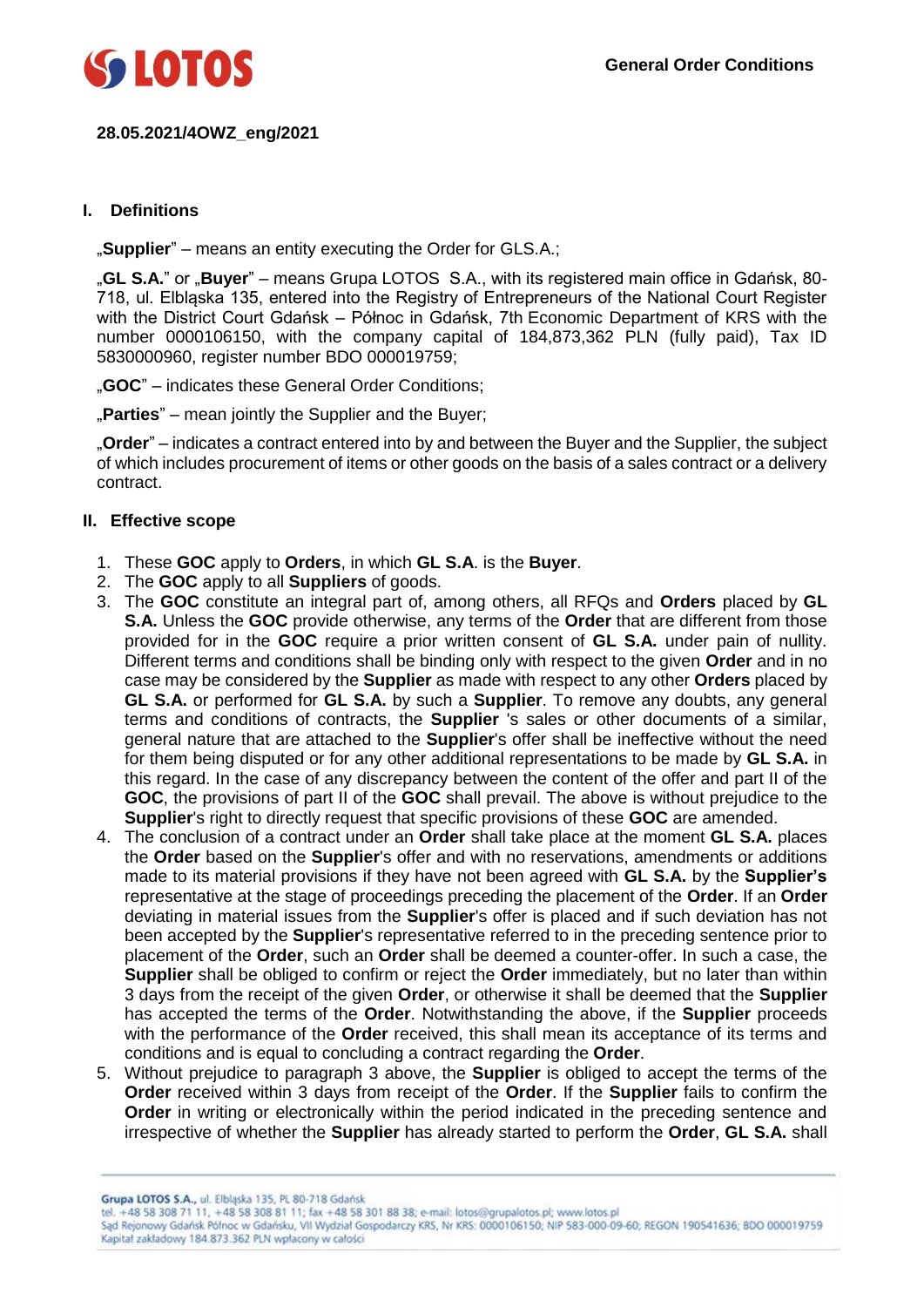

# **28.05.2021/4OWZ\_eng/2021**

## **I. Definitions**

"**Supplier**" – means an entity executing the Order for GLS.A.;

"**GL S.A.**" or "**Buyer**" – means Grupa LOTOS S.A., with its registered main office in Gdańsk, 80- 718, ul. Elbląska 135, entered into the Registry of Entrepreneurs of the National Court Register with the District Court Gdańsk – Północ in Gdańsk, 7th Economic Department of KRS with the number 0000106150, with the company capital of 184,873,362 PLN (fully paid), Tax ID 5830000960, register number BDO 000019759;

"**GOC**" – indicates these General Order Conditions;

"Parties" – mean jointly the Supplier and the Buyer;

"**Order**" – indicates a contract entered into by and between the Buyer and the Supplier, the subject of which includes procurement of items or other goods on the basis of a sales contract or a delivery contract.

#### **II. Effective scope**

- 1. These **GOC** apply to **Orders**, in which **GL S.A**. is the **Buyer**.
- 2. The **GOC** apply to all **Suppliers** of goods.
- 3. The **GOC** constitute an integral part of, among others, all RFQs and **Orders** placed by **GL S.A.** Unless the **GOC** provide otherwise, any terms of the **Order** that are different from those provided for in the **GOC** require a prior written consent of **GL S.A.** under pain of nullity. Different terms and conditions shall be binding only with respect to the given **Order** and in no case may be considered by the **Supplier** as made with respect to any other **Orders** placed by **GL S.A.** or performed for **GL S.A.** by such a **Supplier**. To remove any doubts, any general terms and conditions of contracts, the **Supplier** 's sales or other documents of a similar, general nature that are attached to the **Supplier**'s offer shall be ineffective without the need for them being disputed or for any other additional representations to be made by **GL S.A.** in this regard. In the case of any discrepancy between the content of the offer and part II of the **GOC**, the provisions of part II of the **GOC** shall prevail. The above is without prejudice to the **Supplier**'s right to directly request that specific provisions of these **GOC** are amended.
- 4. The conclusion of a contract under an **Order** shall take place at the moment **GL S.A.** places the **Order** based on the **Supplier**'s offer and with no reservations, amendments or additions made to its material provisions if they have not been agreed with **GL S.A.** by the **Supplier's** representative at the stage of proceedings preceding the placement of the **Order**. If an **Order** deviating in material issues from the **Supplier**'s offer is placed and if such deviation has not been accepted by the **Supplier**'s representative referred to in the preceding sentence prior to placement of the **Order**, such an **Order** shall be deemed a counter-offer. In such a case, the **Supplier** shall be obliged to confirm or reject the **Order** immediately, but no later than within 3 days from the receipt of the given **Order**, or otherwise it shall be deemed that the **Supplier**  has accepted the terms of the **Order**. Notwithstanding the above, if the **Supplier** proceeds with the performance of the **Order** received, this shall mean its acceptance of its terms and conditions and is equal to concluding a contract regarding the **Order**.
- 5. Without prejudice to paragraph 3 above, the **Supplier** is obliged to accept the terms of the **Order** received within 3 days from receipt of the **Order**. If the **Supplier** fails to confirm the **Order** in writing or electronically within the period indicated in the preceding sentence and irrespective of whether the **Supplier** has already started to perform the **Order**, **GL S.A.** shall

Grupa LOTOS S.A., ul. Elbląska 135, PL 80-718 Gdańsk

Sąd Rejonowy Gdańsk Północ w Gdańsku, VII Wydział Gospodarczy KRS, Nr KRS: 0000106150; NIP 583-000-09-60; REGON 190541636; 8DO 000019759 Kapitał zakładowy 184.873.362 PLN wpłacony w całości

tel. +48 58 308 71 11, +48 58 308 81 11; fax +48 58 301 88 38; e-mail: lotos@grupalotos.pl; www.lotos.pl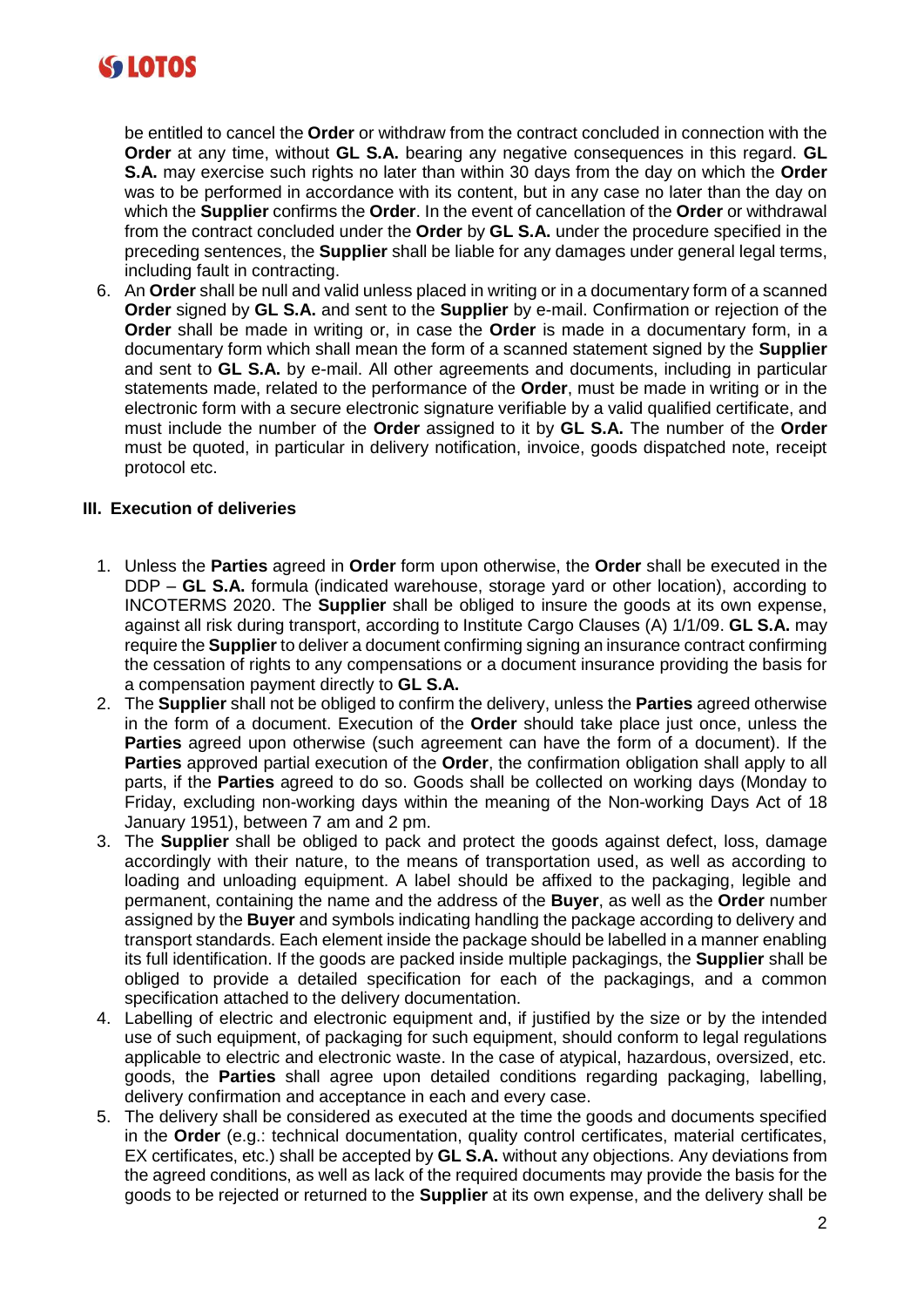

be entitled to cancel the **Order** or withdraw from the contract concluded in connection with the **Order** at any time, without **GL S.A.** bearing any negative consequences in this regard. **GL S.A.** may exercise such rights no later than within 30 days from the day on which the **Order** was to be performed in accordance with its content, but in any case no later than the day on which the **Supplier** confirms the **Order**. In the event of cancellation of the **Order** or withdrawal from the contract concluded under the **Order** by **GL S.A.** under the procedure specified in the preceding sentences, the **Supplier** shall be liable for any damages under general legal terms, including fault in contracting.

6. An **Order** shall be null and valid unless placed in writing or in a documentary form of a scanned **Order** signed by **GL S.A.** and sent to the **Supplier** by e-mail. Confirmation or rejection of the **Order** shall be made in writing or, in case the **Order** is made in a documentary form, in a documentary form which shall mean the form of a scanned statement signed by the **Supplier** and sent to **GL S.A.** by e-mail. All other agreements and documents, including in particular statements made, related to the performance of the **Order**, must be made in writing or in the electronic form with a secure electronic signature verifiable by a valid qualified certificate, and must include the number of the **Order** assigned to it by **GL S.A.** The number of the **Order**  must be quoted, in particular in delivery notification, invoice, goods dispatched note, receipt protocol etc.

# **III. Execution of deliveries**

- 1. Unless the **Parties** agreed in **Order** form upon otherwise, the **Order** shall be executed in the DDP – **GL S.A.** formula (indicated warehouse, storage yard or other location), according to INCOTERMS 2020. The **Supplier** shall be obliged to insure the goods at its own expense, against all risk during transport, according to Institute Cargo Clauses (A) 1/1/09. **GL S.A.** may require the **Supplier** to deliver a document confirming signing an insurance contract confirming the cessation of rights to any compensations or a document insurance providing the basis for a compensation payment directly to **GL S.A.**
- 2. The **Supplier** shall not be obliged to confirm the delivery, unless the **Parties** agreed otherwise in the form of a document. Execution of the **Order** should take place just once, unless the **Parties** agreed upon otherwise (such agreement can have the form of a document). If the **Parties** approved partial execution of the **Order**, the confirmation obligation shall apply to all parts, if the **Parties** agreed to do so. Goods shall be collected on working days (Monday to Friday, excluding non-working days within the meaning of the Non-working Days Act of 18 January 1951), between 7 am and 2 pm.
- 3. The **Supplier** shall be obliged to pack and protect the goods against defect, loss, damage accordingly with their nature, to the means of transportation used, as well as according to loading and unloading equipment. A label should be affixed to the packaging, legible and permanent, containing the name and the address of the **Buyer**, as well as the **Order** number assigned by the **Buyer** and symbols indicating handling the package according to delivery and transport standards. Each element inside the package should be labelled in a manner enabling its full identification. If the goods are packed inside multiple packagings, the **Supplier** shall be obliged to provide a detailed specification for each of the packagings, and a common specification attached to the delivery documentation.
- 4. Labelling of electric and electronic equipment and, if justified by the size or by the intended use of such equipment, of packaging for such equipment, should conform to legal regulations applicable to electric and electronic waste. In the case of atypical, hazardous, oversized, etc. goods, the **Parties** shall agree upon detailed conditions regarding packaging, labelling, delivery confirmation and acceptance in each and every case.
- 5. The delivery shall be considered as executed at the time the goods and documents specified in the **Order** (e.g.: technical documentation, quality control certificates, material certificates, EX certificates, etc.) shall be accepted by **GL S.A.** without any objections. Any deviations from the agreed conditions, as well as lack of the required documents may provide the basis for the goods to be rejected or returned to the **Supplier** at its own expense, and the delivery shall be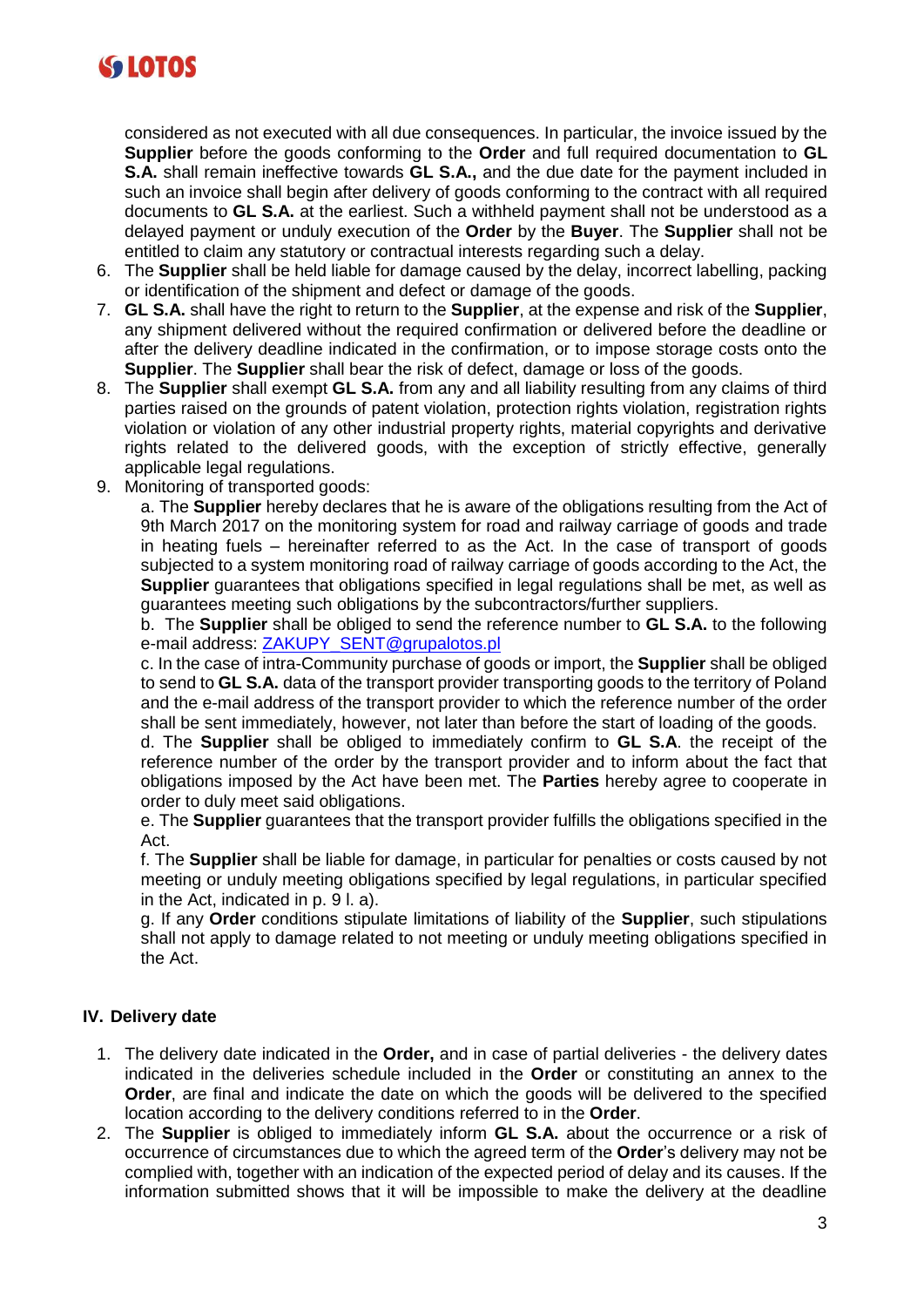

considered as not executed with all due consequences. In particular, the invoice issued by the **Supplier** before the goods conforming to the **Order** and full required documentation to **GL S.A.** shall remain ineffective towards **GL S.A.,** and the due date for the payment included in such an invoice shall begin after delivery of goods conforming to the contract with all required documents to **GL S.A.** at the earliest. Such a withheld payment shall not be understood as a delayed payment or unduly execution of the **Order** by the **Buyer**. The **Supplier** shall not be entitled to claim any statutory or contractual interests regarding such a delay.

- 6. The **Supplier** shall be held liable for damage caused by the delay, incorrect labelling, packing or identification of the shipment and defect or damage of the goods.
- 7. **GL S.A.** shall have the right to return to the **Supplier**, at the expense and risk of the **Supplier**, any shipment delivered without the required confirmation or delivered before the deadline or after the delivery deadline indicated in the confirmation, or to impose storage costs onto the **Supplier**. The **Supplier** shall bear the risk of defect, damage or loss of the goods.
- 8. The **Supplier** shall exempt **GL S.A.** from any and all liability resulting from any claims of third parties raised on the grounds of patent violation, protection rights violation, registration rights violation or violation of any other industrial property rights, material copyrights and derivative rights related to the delivered goods, with the exception of strictly effective, generally applicable legal regulations.
- 9. Monitoring of transported goods:

a. The **Supplier** hereby declares that he is aware of the obligations resulting from the Act of 9th March 2017 on the monitoring system for road and railway carriage of goods and trade in heating fuels – hereinafter referred to as the Act. In the case of transport of goods subjected to a system monitoring road of railway carriage of goods according to the Act, the **Supplier** guarantees that obligations specified in legal regulations shall be met, as well as guarantees meeting such obligations by the subcontractors/further suppliers.

b. The **Supplier** shall be obliged to send the reference number to **GL S.A.** to the following e-mail address: [ZAKUPY\\_SENT@grupalotos.pl](mailto:ZAKUPY_SENT@grupalotos.pl)

c. In the case of intra-Community purchase of goods or import, the **Supplier** shall be obliged to send to **GL S.A.** data of the transport provider transporting goods to the territory of Poland and the e-mail address of the transport provider to which the reference number of the order shall be sent immediately, however, not later than before the start of loading of the goods.

d. The **Supplier** shall be obliged to immediately confirm to **GL S.A**. the receipt of the reference number of the order by the transport provider and to inform about the fact that obligations imposed by the Act have been met. The **Parties** hereby agree to cooperate in order to duly meet said obligations.

e. The **Supplier** guarantees that the transport provider fulfills the obligations specified in the Act.

f. The **Supplier** shall be liable for damage, in particular for penalties or costs caused by not meeting or unduly meeting obligations specified by legal regulations, in particular specified in the Act, indicated in p. 9 l. a).

g. If any **Order** conditions stipulate limitations of liability of the **Supplier**, such stipulations shall not apply to damage related to not meeting or unduly meeting obligations specified in the Act.

# **IV. Delivery date**

- 1. The delivery date indicated in the **Order,** and in case of partial deliveries the delivery dates indicated in the deliveries schedule included in the **Order** or constituting an annex to the **Order**, are final and indicate the date on which the goods will be delivered to the specified location according to the delivery conditions referred to in the **Order**.
- 2. The **Supplier** is obliged to immediately inform **GL S.A.** about the occurrence or a risk of occurrence of circumstances due to which the agreed term of the **Order**'s delivery may not be complied with, together with an indication of the expected period of delay and its causes. If the information submitted shows that it will be impossible to make the delivery at the deadline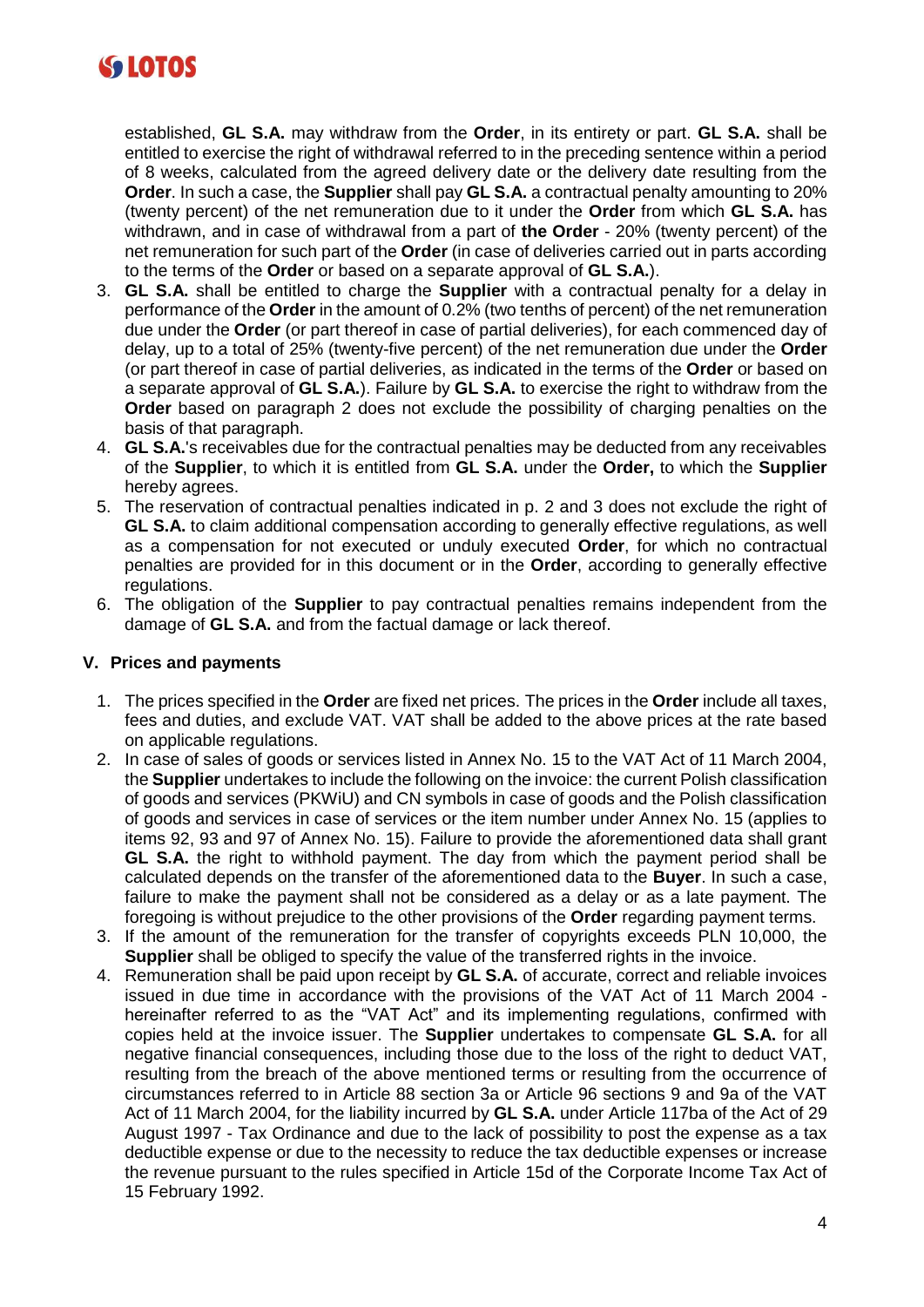

established, **GL S.A.** may withdraw from the **Order**, in its entirety or part. **GL S.A.** shall be entitled to exercise the right of withdrawal referred to in the preceding sentence within a period of 8 weeks, calculated from the agreed delivery date or the delivery date resulting from the **Order**. In such a case, the **Supplier** shall pay **GL S.A.** a contractual penalty amounting to 20% (twenty percent) of the net remuneration due to it under the **Order** from which **GL S.A.** has withdrawn, and in case of withdrawal from a part of **the Order** - 20% (twenty percent) of the net remuneration for such part of the **Order** (in case of deliveries carried out in parts according to the terms of the **Order** or based on a separate approval of **GL S.A.**).

- 3. **GL S.A.** shall be entitled to charge the **Supplier** with a contractual penalty for a delay in performance of the **Order** in the amount of 0.2% (two tenths of percent) of the net remuneration due under the **Order** (or part thereof in case of partial deliveries), for each commenced day of delay, up to a total of 25% (twenty-five percent) of the net remuneration due under the **Order** (or part thereof in case of partial deliveries, as indicated in the terms of the **Order** or based on a separate approval of **GL S.A.**). Failure by **GL S.A.** to exercise the right to withdraw from the **Order** based on paragraph 2 does not exclude the possibility of charging penalties on the basis of that paragraph.
- 4. **GL S.A.**'s receivables due for the contractual penalties may be deducted from any receivables of the **Supplier**, to which it is entitled from **GL S.A.** under the **Order,** to which the **Supplier** hereby agrees.
- 5. The reservation of contractual penalties indicated in p. 2 and 3 does not exclude the right of **GL S.A.** to claim additional compensation according to generally effective regulations, as well as a compensation for not executed or unduly executed **Order**, for which no contractual penalties are provided for in this document or in the **Order**, according to generally effective regulations.
- 6. The obligation of the **Supplier** to pay contractual penalties remains independent from the damage of **GL S.A.** and from the factual damage or lack thereof.

#### **V. Prices and payments**

- 1. The prices specified in the **Order** are fixed net prices. The prices in the **Order** include all taxes, fees and duties, and exclude VAT. VAT shall be added to the above prices at the rate based on applicable regulations.
- 2. In case of sales of goods or services listed in Annex No. 15 to the VAT Act of 11 March 2004, the **Supplier** undertakes to include the following on the invoice: the current Polish classification of goods and services (PKWiU) and CN symbols in case of goods and the Polish classification of goods and services in case of services or the item number under Annex No. 15 (applies to items 92, 93 and 97 of Annex No. 15). Failure to provide the aforementioned data shall grant **GL S.A.** the right to withhold payment. The day from which the payment period shall be calculated depends on the transfer of the aforementioned data to the **Buyer**. In such a case, failure to make the payment shall not be considered as a delay or as a late payment. The foregoing is without prejudice to the other provisions of the **Order** regarding payment terms.
- 3. If the amount of the remuneration for the transfer of copyrights exceeds PLN 10,000, the **Supplier** shall be obliged to specify the value of the transferred rights in the invoice.
- 4. Remuneration shall be paid upon receipt by **GL S.A.** of accurate, correct and reliable invoices issued in due time in accordance with the provisions of the VAT Act of 11 March 2004 hereinafter referred to as the "VAT Act" and its implementing regulations, confirmed with copies held at the invoice issuer. The **Supplier** undertakes to compensate **GL S.A.** for all negative financial consequences, including those due to the loss of the right to deduct VAT, resulting from the breach of the above mentioned terms or resulting from the occurrence of circumstances referred to in Article 88 section 3a or Article 96 sections 9 and 9a of the VAT Act of 11 March 2004, for the liability incurred by **GL S.A.** under Article 117ba of the Act of 29 August 1997 - Tax Ordinance and due to the lack of possibility to post the expense as a tax deductible expense or due to the necessity to reduce the tax deductible expenses or increase the revenue pursuant to the rules specified in Article 15d of the Corporate Income Tax Act of 15 February 1992.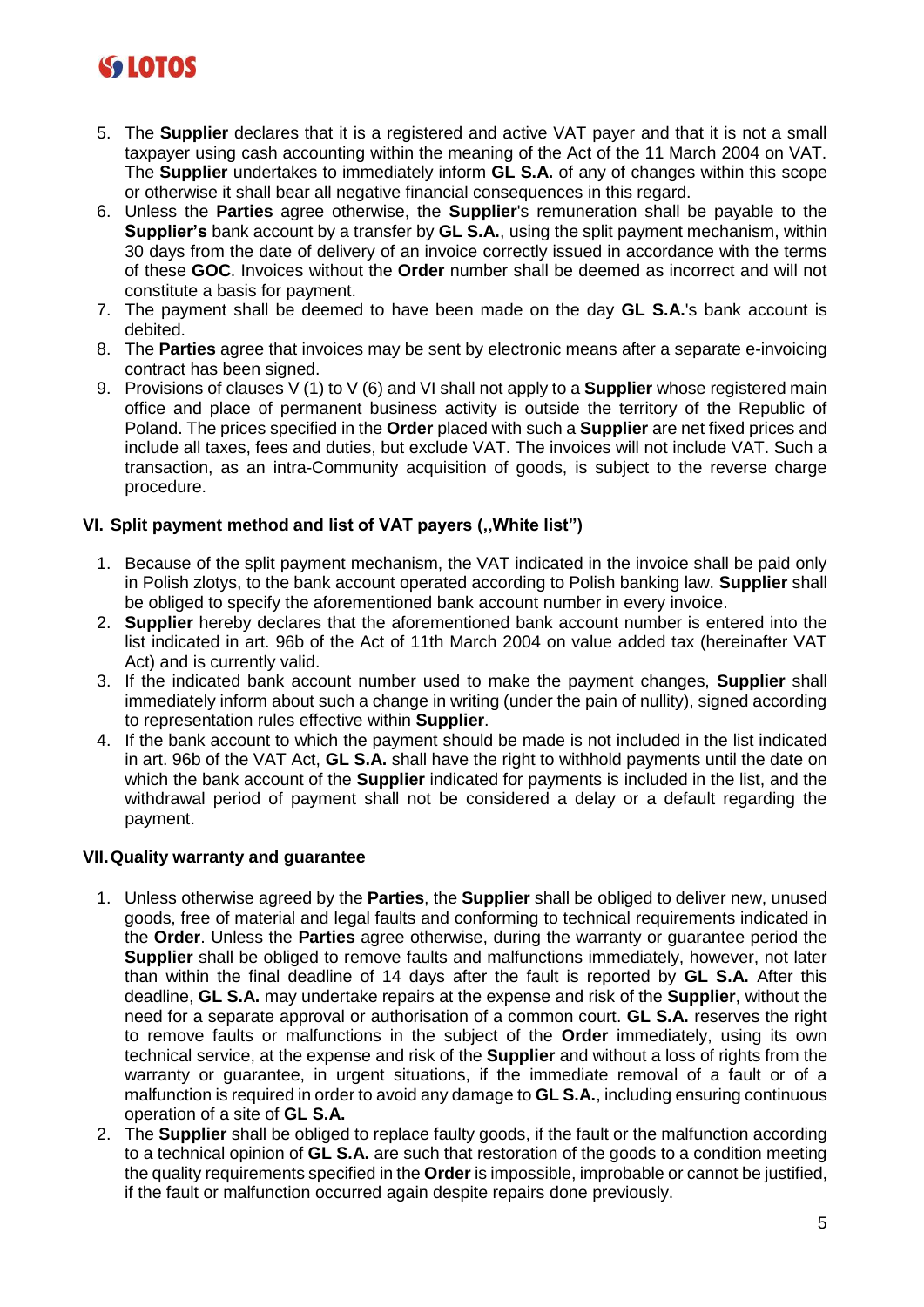# **SS LOTOS**

- 5. The **Supplier** declares that it is a registered and active VAT payer and that it is not a small taxpayer using cash accounting within the meaning of the Act of the 11 March 2004 on VAT. The **Supplier** undertakes to immediately inform **GL S.A.** of any of changes within this scope or otherwise it shall bear all negative financial consequences in this regard.
- 6. Unless the **Parties** agree otherwise, the **Supplier**'s remuneration shall be payable to the **Supplier's** bank account by a transfer by **GL S.A.**, using the split payment mechanism, within 30 days from the date of delivery of an invoice correctly issued in accordance with the terms of these **GOC**. Invoices without the **Order** number shall be deemed as incorrect and will not constitute a basis for payment.
- 7. The payment shall be deemed to have been made on the day **GL S.A.**'s bank account is debited.
- 8. The **Parties** agree that invoices may be sent by electronic means after a separate e-invoicing contract has been signed.
- 9. Provisions of clauses V (1) to V (6) and VI shall not apply to a **Supplier** whose registered main office and place of permanent business activity is outside the territory of the Republic of Poland. The prices specified in the **Order** placed with such a **Supplier** are net fixed prices and include all taxes, fees and duties, but exclude VAT. The invoices will not include VAT. Such a transaction, as an intra-Community acquisition of goods, is subject to the reverse charge procedure.

# **VI. Split payment method and list of VAT payers (,,White list")**

- 1. Because of the split payment mechanism, the VAT indicated in the invoice shall be paid only in Polish zlotys, to the bank account operated according to Polish banking law. **Supplier** shall be obliged to specify the aforementioned bank account number in every invoice.
- 2. **Supplier** hereby declares that the aforementioned bank account number is entered into the list indicated in art. 96b of the Act of 11th March 2004 on value added tax (hereinafter VAT Act) and is currently valid.
- 3. If the indicated bank account number used to make the payment changes, **Supplier** shall immediately inform about such a change in writing (under the pain of nullity), signed according to representation rules effective within **Supplier**.
- 4. If the bank account to which the payment should be made is not included in the list indicated in art. 96b of the VAT Act, **GL S.A.** shall have the right to withhold payments until the date on which the bank account of the **Supplier** indicated for payments is included in the list, and the withdrawal period of payment shall not be considered a delay or a default regarding the payment.

# **VII.Quality warranty and guarantee**

- 1. Unless otherwise agreed by the **Parties**, the **Supplier** shall be obliged to deliver new, unused goods, free of material and legal faults and conforming to technical requirements indicated in the **Order**. Unless the **Parties** agree otherwise, during the warranty or guarantee period the **Supplier** shall be obliged to remove faults and malfunctions immediately, however, not later than within the final deadline of 14 days after the fault is reported by **GL S.A.** After this deadline, **GL S.A.** may undertake repairs at the expense and risk of the **Supplier**, without the need for a separate approval or authorisation of a common court. **GL S.A.** reserves the right to remove faults or malfunctions in the subject of the **Order** immediately, using its own technical service, at the expense and risk of the **Supplier** and without a loss of rights from the warranty or guarantee, in urgent situations, if the immediate removal of a fault or of a malfunction is required in order to avoid any damage to **GL S.A.**, including ensuring continuous operation of a site of **GL S.A.**
- 2. The **Supplier** shall be obliged to replace faulty goods, if the fault or the malfunction according to a technical opinion of **GL S.A.** are such that restoration of the goods to a condition meeting the quality requirements specified in the **Order** is impossible, improbable or cannot be justified, if the fault or malfunction occurred again despite repairs done previously.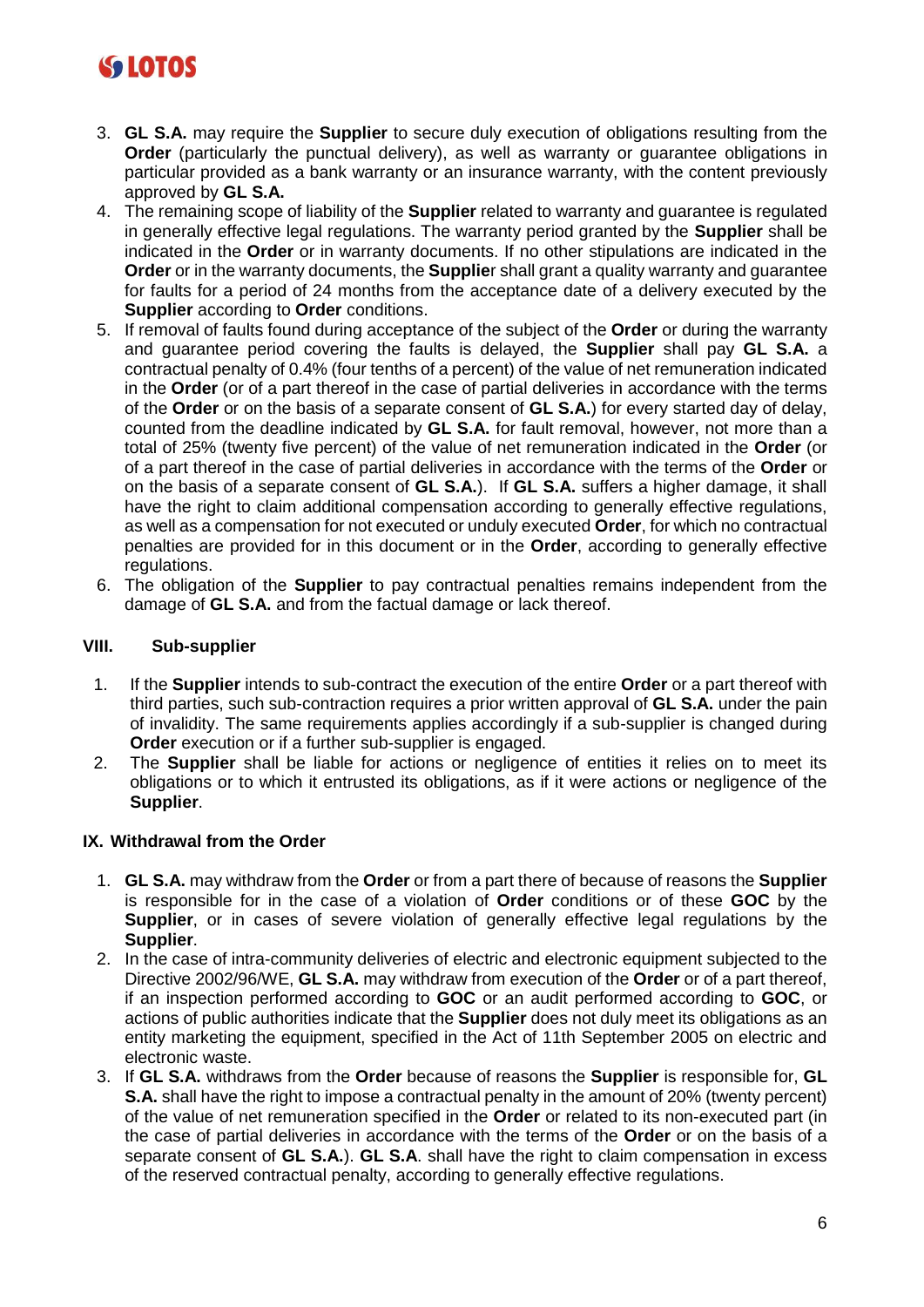# **SS LOTOS**

- 3. **GL S.A.** may require the **Supplier** to secure duly execution of obligations resulting from the **Order** (particularly the punctual delivery), as well as warranty or quarantee obligations in particular provided as a bank warranty or an insurance warranty, with the content previously approved by **GL S.A.**
- 4. The remaining scope of liability of the **Supplier** related to warranty and guarantee is regulated in generally effective legal regulations. The warranty period granted by the **Supplier** shall be indicated in the **Order** or in warranty documents. If no other stipulations are indicated in the **Order** or in the warranty documents, the **Supplie**r shall grant a quality warranty and guarantee for faults for a period of 24 months from the acceptance date of a delivery executed by the **Supplier** according to **Order** conditions.
- 5. If removal of faults found during acceptance of the subject of the **Order** or during the warranty and guarantee period covering the faults is delayed, the **Supplier** shall pay **GL S.A.** a contractual penalty of 0.4% (four tenths of a percent) of the value of net remuneration indicated in the **Order** (or of a part thereof in the case of partial deliveries in accordance with the terms of the **Order** or on the basis of a separate consent of **GL S.A.**) for every started day of delay, counted from the deadline indicated by **GL S.A.** for fault removal, however, not more than a total of 25% (twenty five percent) of the value of net remuneration indicated in the **Order** (or of a part thereof in the case of partial deliveries in accordance with the terms of the **Order** or on the basis of a separate consent of **GL S.A.**). If **GL S.A.** suffers a higher damage, it shall have the right to claim additional compensation according to generally effective regulations, as well as a compensation for not executed or unduly executed **Order**, for which no contractual penalties are provided for in this document or in the **Order**, according to generally effective regulations.
- 6. The obligation of the **Supplier** to pay contractual penalties remains independent from the damage of **GL S.A.** and from the factual damage or lack thereof.

# **VIII. Sub-supplier**

- 1. If the **Supplier** intends to sub-contract the execution of the entire **Order** or a part thereof with third parties, such sub-contraction requires a prior written approval of **GL S.A.** under the pain of invalidity. The same requirements applies accordingly if a sub-supplier is changed during **Order** execution or if a further sub-supplier is engaged.
- 2. The **Supplier** shall be liable for actions or negligence of entities it relies on to meet its obligations or to which it entrusted its obligations, as if it were actions or negligence of the **Supplier**.

# **IX. Withdrawal from the Order**

- 1. **GL S.A.** may withdraw from the **Order** or from a part there of because of reasons the **Supplier**  is responsible for in the case of a violation of **Order** conditions or of these **GOC** by the **Supplier**, or in cases of severe violation of generally effective legal regulations by the **Supplier**.
- 2. In the case of intra-community deliveries of electric and electronic equipment subjected to the Directive 2002/96/WE, **GL S.A.** may withdraw from execution of the **Order** or of a part thereof, if an inspection performed according to **GOC** or an audit performed according to **GOC**, or actions of public authorities indicate that the **Supplier** does not duly meet its obligations as an entity marketing the equipment, specified in the Act of 11th September 2005 on electric and electronic waste.
- 3. If **GL S.A.** withdraws from the **Order** because of reasons the **Supplier** is responsible for, **GL S.A.** shall have the right to impose a contractual penalty in the amount of 20% (twenty percent) of the value of net remuneration specified in the **Order** or related to its non-executed part (in the case of partial deliveries in accordance with the terms of the **Order** or on the basis of a separate consent of **GL S.A.**). **GL S.A**. shall have the right to claim compensation in excess of the reserved contractual penalty, according to generally effective regulations.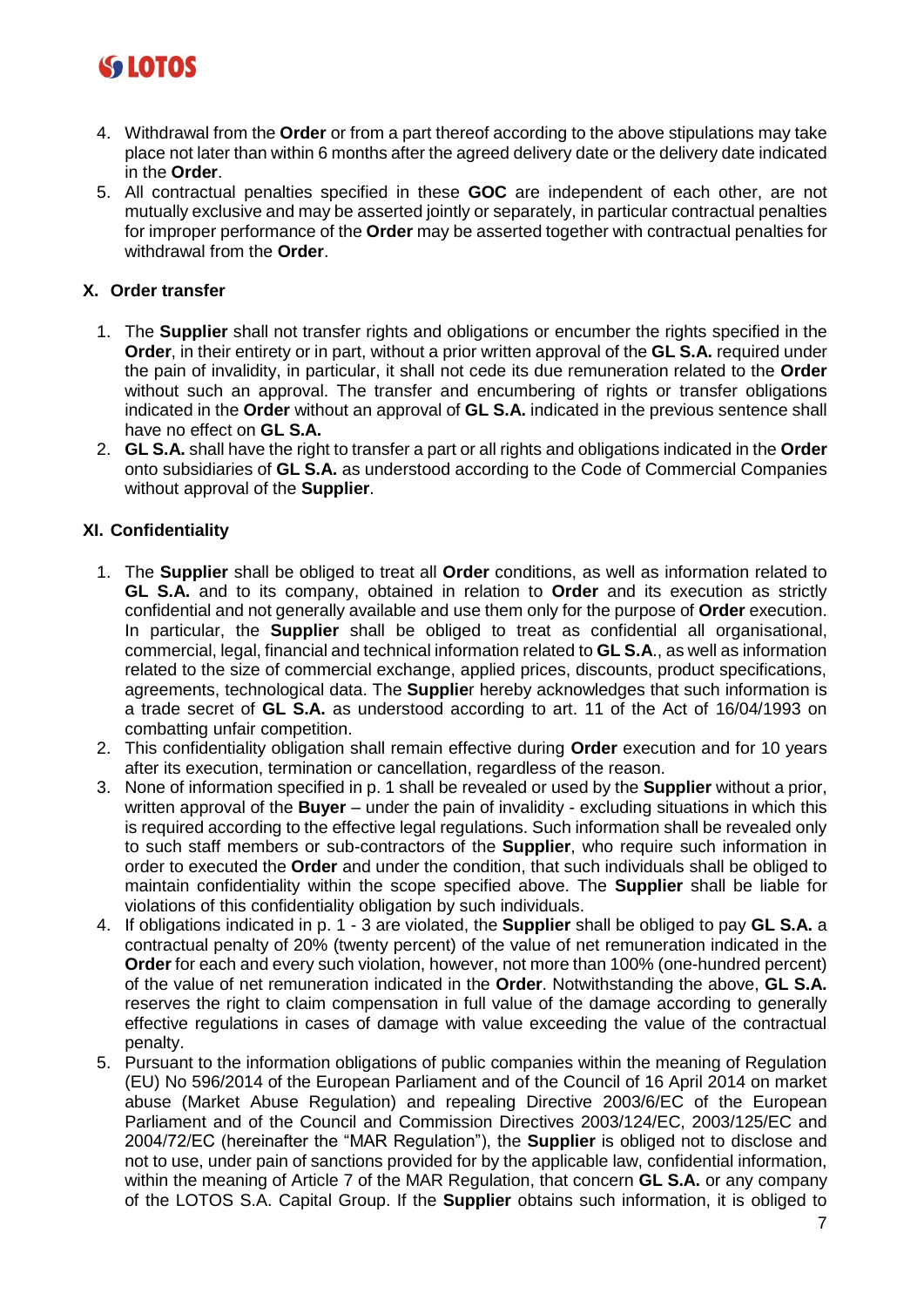

- 4. Withdrawal from the **Order** or from a part thereof according to the above stipulations may take place not later than within 6 months after the agreed delivery date or the delivery date indicated in the **Order**.
- 5. All contractual penalties specified in these **GOC** are independent of each other, are not mutually exclusive and may be asserted jointly or separately, in particular contractual penalties for improper performance of the **Order** may be asserted together with contractual penalties for withdrawal from the **Order**.

## **X. Order transfer**

- 1. The **Supplier** shall not transfer rights and obligations or encumber the rights specified in the **Order**, in their entirety or in part, without a prior written approval of the **GL S.A.** required under the pain of invalidity, in particular, it shall not cede its due remuneration related to the **Order** without such an approval. The transfer and encumbering of rights or transfer obligations indicated in the **Order** without an approval of **GL S.A.** indicated in the previous sentence shall have no effect on **GL S.A.**
- 2. **GL S.A.** shall have the right to transfer a part or all rights and obligations indicated in the **Order** onto subsidiaries of **GL S.A.** as understood according to the Code of Commercial Companies without approval of the **Supplier**.

#### **XI. Confidentiality**

- 1. The **Supplier** shall be obliged to treat all **Order** conditions, as well as information related to **GL S.A.** and to its company, obtained in relation to **Order** and its execution as strictly confidential and not generally available and use them only for the purpose of **Order** execution. In particular, the **Supplier** shall be obliged to treat as confidential all organisational, commercial, legal, financial and technical information related to **GL S.A**., as well as information related to the size of commercial exchange, applied prices, discounts, product specifications, agreements, technological data. The **Supplie**r hereby acknowledges that such information is a trade secret of **GL S.A.** as understood according to art. 11 of the Act of 16/04/1993 on combatting unfair competition.
- 2. This confidentiality obligation shall remain effective during **Order** execution and for 10 years after its execution, termination or cancellation, regardless of the reason.
- 3. None of information specified in p. 1 shall be revealed or used by the **Supplier** without a prior, written approval of the **Buyer** – under the pain of invalidity - excluding situations in which this is required according to the effective legal regulations. Such information shall be revealed only to such staff members or sub-contractors of the **Supplier**, who require such information in order to executed the **Order** and under the condition, that such individuals shall be obliged to maintain confidentiality within the scope specified above. The **Supplier** shall be liable for violations of this confidentiality obligation by such individuals.
- 4. If obligations indicated in p. 1 3 are violated, the **Supplier** shall be obliged to pay **GL S.A.** a contractual penalty of 20% (twenty percent) of the value of net remuneration indicated in the **Order** for each and every such violation, however, not more than 100% (one-hundred percent) of the value of net remuneration indicated in the **Order**. Notwithstanding the above, **GL S.A.** reserves the right to claim compensation in full value of the damage according to generally effective regulations in cases of damage with value exceeding the value of the contractual penalty.
- 5. Pursuant to the information obligations of public companies within the meaning of Regulation (EU) No 596/2014 of the European Parliament and of the Council of 16 April 2014 on market abuse (Market Abuse Regulation) and repealing Directive 2003/6/EC of the European Parliament and of the Council and Commission Directives 2003/124/EC, 2003/125/EC and 2004/72/EC (hereinafter the "MAR Regulation"), the **Supplier** is obliged not to disclose and not to use, under pain of sanctions provided for by the applicable law, confidential information, within the meaning of Article 7 of the MAR Regulation, that concern **GL S.A.** or any company of the LOTOS S.A. Capital Group. If the **Supplier** obtains such information, it is obliged to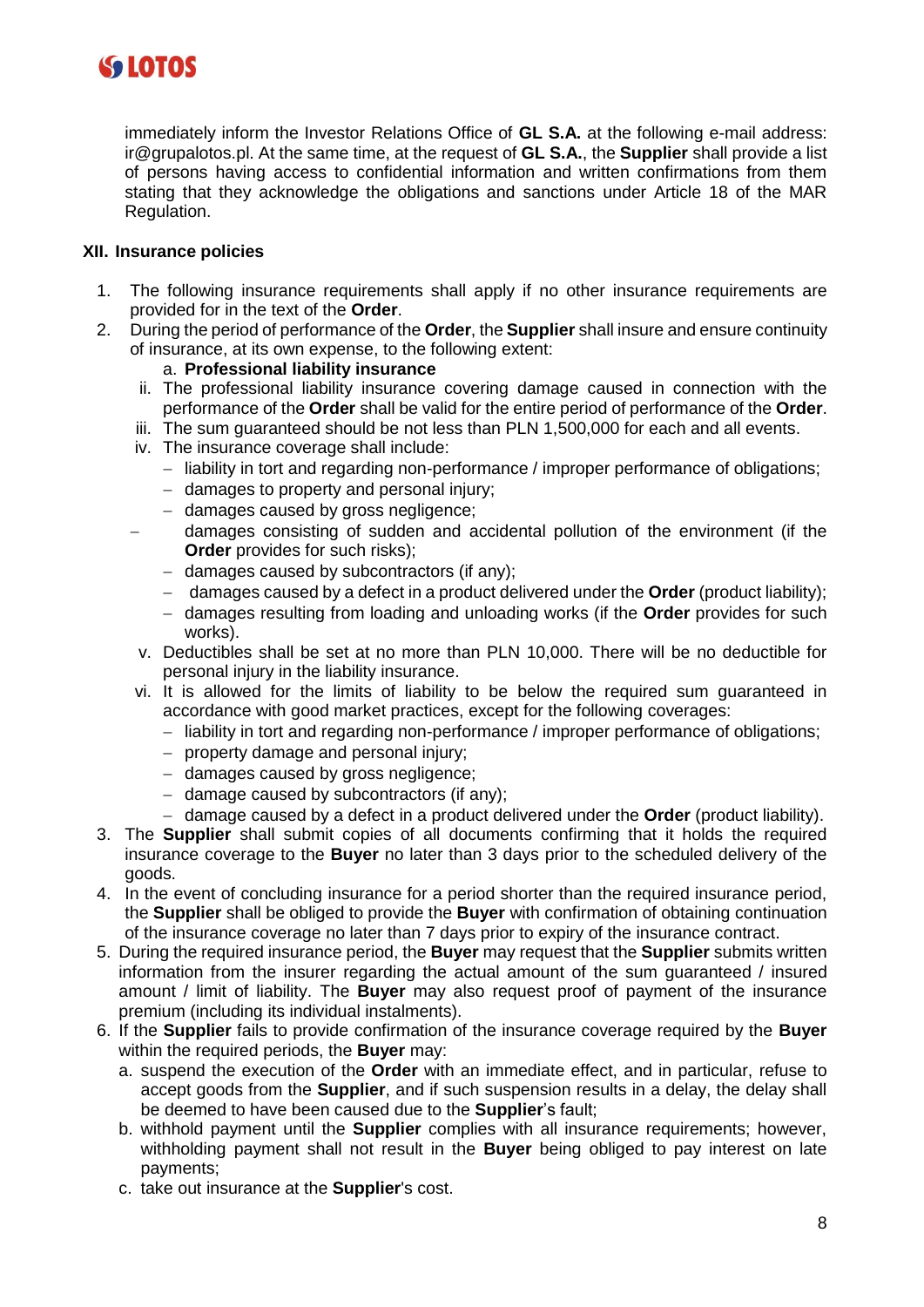

immediately inform the Investor Relations Office of **GL S.A.** at the following e-mail address: ir@grupalotos.pl. At the same time, at the request of **GL S.A.**, the **Supplier** shall provide a list of persons having access to confidential information and written confirmations from them stating that they acknowledge the obligations and sanctions under Article 18 of the MAR Regulation.

## **XII. Insurance policies**

- 1. The following insurance requirements shall apply if no other insurance requirements are provided for in the text of the **Order**.
- 2. During the period of performance of the **Order**, the **Supplier** shall insure and ensure continuity of insurance, at its own expense, to the following extent:

#### a. **Professional liability insurance**

- ii. The professional liability insurance covering damage caused in connection with the performance of the **Order** shall be valid for the entire period of performance of the **Order**.
- iii. The sum guaranteed should be not less than PLN 1,500,000 for each and all events.
- iv. The insurance coverage shall include:
	- − liability in tort and regarding non-performance / improper performance of obligations;
	- − damages to property and personal injury;
	- − damages caused by gross negligence;
	- − damages consisting of sudden and accidental pollution of the environment (if the **Order** provides for such risks);
		- − damages caused by subcontractors (if any);
		- − damages caused by a defect in a product delivered under the **Order** (product liability);
		- − damages resulting from loading and unloading works (if the **Order** provides for such works).
- v. Deductibles shall be set at no more than PLN 10,000. There will be no deductible for personal injury in the liability insurance.
- vi. It is allowed for the limits of liability to be below the required sum guaranteed in accordance with good market practices, except for the following coverages:
	- − liability in tort and regarding non-performance / improper performance of obligations;
	- − property damage and personal injury;
	- − damages caused by gross negligence;
	- − damage caused by subcontractors (if any);
	- − damage caused by a defect in a product delivered under the **Order** (product liability).
- 3. The **Supplier** shall submit copies of all documents confirming that it holds the required insurance coverage to the **Buyer** no later than 3 days prior to the scheduled delivery of the goods.
- 4. In the event of concluding insurance for a period shorter than the required insurance period, the **Supplier** shall be obliged to provide the **Buyer** with confirmation of obtaining continuation of the insurance coverage no later than 7 days prior to expiry of the insurance contract.
- 5. During the required insurance period, the **Buyer** may request that the **Supplier** submits written information from the insurer regarding the actual amount of the sum guaranteed / insured amount / limit of liability. The **Buyer** may also request proof of payment of the insurance premium (including its individual instalments).
- 6. If the **Supplier** fails to provide confirmation of the insurance coverage required by the **Buyer**  within the required periods, the **Buyer** may:
	- a. suspend the execution of the **Order** with an immediate effect, and in particular, refuse to accept goods from the **Supplier**, and if such suspension results in a delay, the delay shall be deemed to have been caused due to the **Supplier**'s fault;
	- b. withhold payment until the **Supplier** complies with all insurance requirements; however, withholding payment shall not result in the **Buyer** being obliged to pay interest on late payments;
	- c. take out insurance at the **Supplier**'s cost.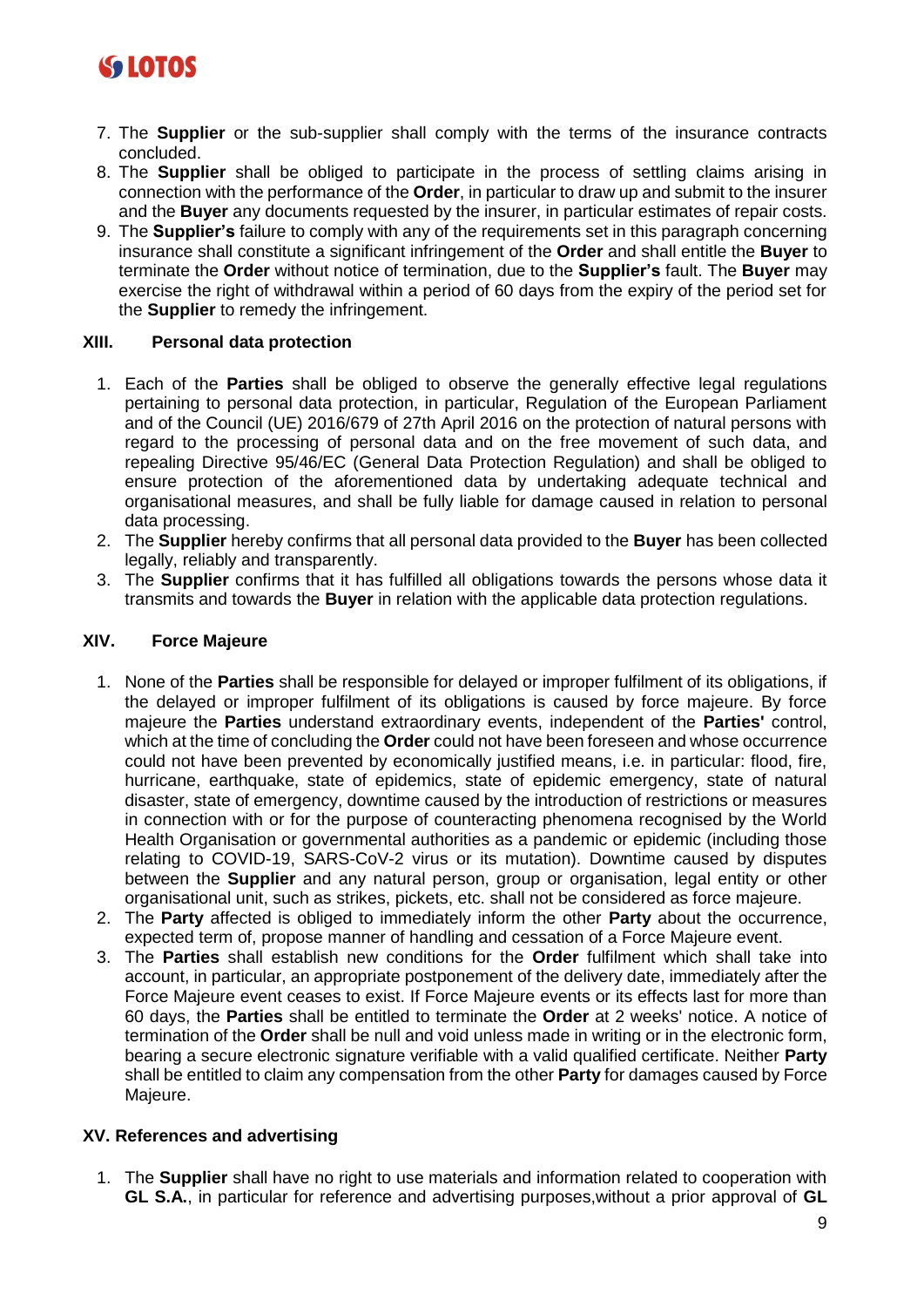

- 7. The **Supplier** or the sub-supplier shall comply with the terms of the insurance contracts concluded.
- 8. The **Supplier** shall be obliged to participate in the process of settling claims arising in connection with the performance of the **Order**, in particular to draw up and submit to the insurer and the **Buyer** any documents requested by the insurer, in particular estimates of repair costs.
- 9. The **Supplier's** failure to comply with any of the requirements set in this paragraph concerning insurance shall constitute a significant infringement of the **Order** and shall entitle the **Buyer** to terminate the **Order** without notice of termination, due to the **Supplier's** fault. The **Buyer** may exercise the right of withdrawal within a period of 60 days from the expiry of the period set for the **Supplier** to remedy the infringement.

#### **XIII. Personal data protection**

- 1. Each of the **Parties** shall be obliged to observe the generally effective legal regulations pertaining to personal data protection, in particular, Regulation of the European Parliament and of the Council (UE) 2016/679 of 27th April 2016 on the protection of natural persons with regard to the processing of personal data and on the free movement of such data, and repealing Directive 95/46/EC (General Data Protection Regulation) and shall be obliged to ensure protection of the aforementioned data by undertaking adequate technical and organisational measures, and shall be fully liable for damage caused in relation to personal data processing.
- 2. The **Supplier** hereby confirms that all personal data provided to the **Buyer** has been collected legally, reliably and transparently.
- 3. The **Supplier** confirms that it has fulfilled all obligations towards the persons whose data it transmits and towards the **Buyer** in relation with the applicable data protection regulations.

#### **XIV. Force Majeure**

- 1. None of the **Parties** shall be responsible for delayed or improper fulfilment of its obligations, if the delayed or improper fulfilment of its obligations is caused by force majeure. By force majeure the **Parties** understand extraordinary events, independent of the **Parties'** control, which at the time of concluding the **Order** could not have been foreseen and whose occurrence could not have been prevented by economically justified means, i.e. in particular: flood, fire, hurricane, earthquake, state of epidemics, state of epidemic emergency, state of natural disaster, state of emergency, downtime caused by the introduction of restrictions or measures in connection with or for the purpose of counteracting phenomena recognised by the World Health Organisation or governmental authorities as a pandemic or epidemic (including those relating to COVID-19, SARS-CoV-2 virus or its mutation). Downtime caused by disputes between the **Supplier** and any natural person, group or organisation, legal entity or other organisational unit, such as strikes, pickets, etc. shall not be considered as force majeure.
- 2. The **Party** affected is obliged to immediately inform the other **Party** about the occurrence, expected term of, propose manner of handling and cessation of a Force Majeure event.
- 3. The **Parties** shall establish new conditions for the **Order** fulfilment which shall take into account, in particular, an appropriate postponement of the delivery date, immediately after the Force Majeure event ceases to exist. If Force Majeure events or its effects last for more than 60 days, the **Parties** shall be entitled to terminate the **Order** at 2 weeks' notice. A notice of termination of the **Order** shall be null and void unless made in writing or in the electronic form, bearing a secure electronic signature verifiable with a valid qualified certificate. Neither **Party** shall be entitled to claim any compensation from the other **Party** for damages caused by Force Majeure.

# **XV. References and advertising**

1. The **Supplier** shall have no right to use materials and information related to cooperation with **GL S.A.**, in particular for reference and advertising purposes,without a prior approval of **GL**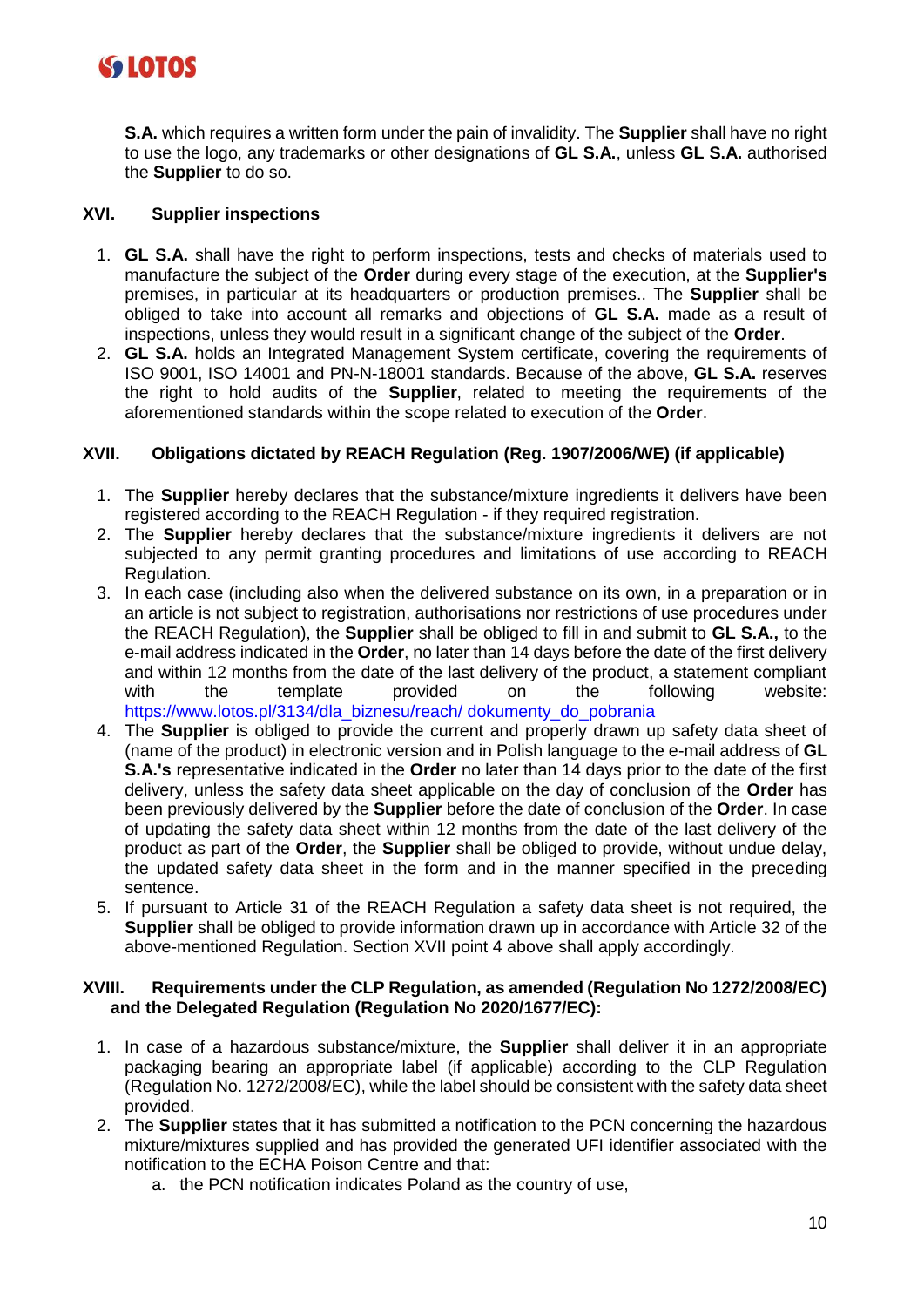

**S.A.** which requires a written form under the pain of invalidity. The **Supplier** shall have no right to use the logo, any trademarks or other designations of **GL S.A.**, unless **GL S.A.** authorised the **Supplier** to do so.

## **XVI. Supplier inspections**

- 1. **GL S.A.** shall have the right to perform inspections, tests and checks of materials used to manufacture the subject of the **Order** during every stage of the execution, at the **Supplier's** premises, in particular at its headquarters or production premises.. The **Supplier** shall be obliged to take into account all remarks and objections of **GL S.A.** made as a result of inspections, unless they would result in a significant change of the subject of the **Order**.
- 2. **GL S.A.** holds an Integrated Management System certificate, covering the requirements of ISO 9001, ISO 14001 and PN-N-18001 standards. Because of the above, **GL S.A.** reserves the right to hold audits of the **Supplier**, related to meeting the requirements of the aforementioned standards within the scope related to execution of the **Order**.

# **XVII. Obligations dictated by REACH Regulation (Reg. 1907/2006/WE) (if applicable)**

- 1. The **Supplier** hereby declares that the substance/mixture ingredients it delivers have been registered according to the REACH Regulation - if they required registration.
- 2. The **Supplier** hereby declares that the substance/mixture ingredients it delivers are not subjected to any permit granting procedures and limitations of use according to REACH Regulation.
- 3. In each case (including also when the delivered substance on its own, in a preparation or in an article is not subject to registration, authorisations nor restrictions of use procedures under the REACH Regulation), the **Supplier** shall be obliged to fill in and submit to **GL S.A.,** to the e-mail address indicated in the **Order**, no later than 14 days before the date of the first delivery and within 12 months from the date of the last delivery of the product, a statement compliant<br>website:<br>website: with the template provided on the following website: https://www.lotos.pl/3134/dla\_biznesu/reach/ dokumenty\_do\_pobrania
- 4. The **Supplier** is obliged to provide the current and properly drawn up safety data sheet of (name of the product) in electronic version and in Polish language to the e-mail address of **GL S.A.'s** representative indicated in the **Order** no later than 14 days prior to the date of the first delivery, unless the safety data sheet applicable on the day of conclusion of the **Order** has been previously delivered by the **Supplier** before the date of conclusion of the **Order**. In case of updating the safety data sheet within 12 months from the date of the last delivery of the product as part of the **Order**, the **Supplier** shall be obliged to provide, without undue delay, the updated safety data sheet in the form and in the manner specified in the preceding sentence.
- 5. If pursuant to Article 31 of the REACH Regulation a safety data sheet is not required, the **Supplier** shall be obliged to provide information drawn up in accordance with Article 32 of the above-mentioned Regulation. Section XVII point 4 above shall apply accordingly.

#### **XVIII. Requirements under the CLP Regulation, as amended (Regulation No 1272/2008/EC) and the Delegated Regulation (Regulation No 2020/1677/EC):**

- 1. In case of a hazardous substance/mixture, the **Supplier** shall deliver it in an appropriate packaging bearing an appropriate label (if applicable) according to the CLP Regulation (Regulation No. 1272/2008/EC), while the label should be consistent with the safety data sheet provided.
- 2. The **Supplier** states that it has submitted a notification to the PCN concerning the hazardous mixture/mixtures supplied and has provided the generated UFI identifier associated with the notification to the ECHA Poison Centre and that:
	- a. the PCN notification indicates Poland as the country of use,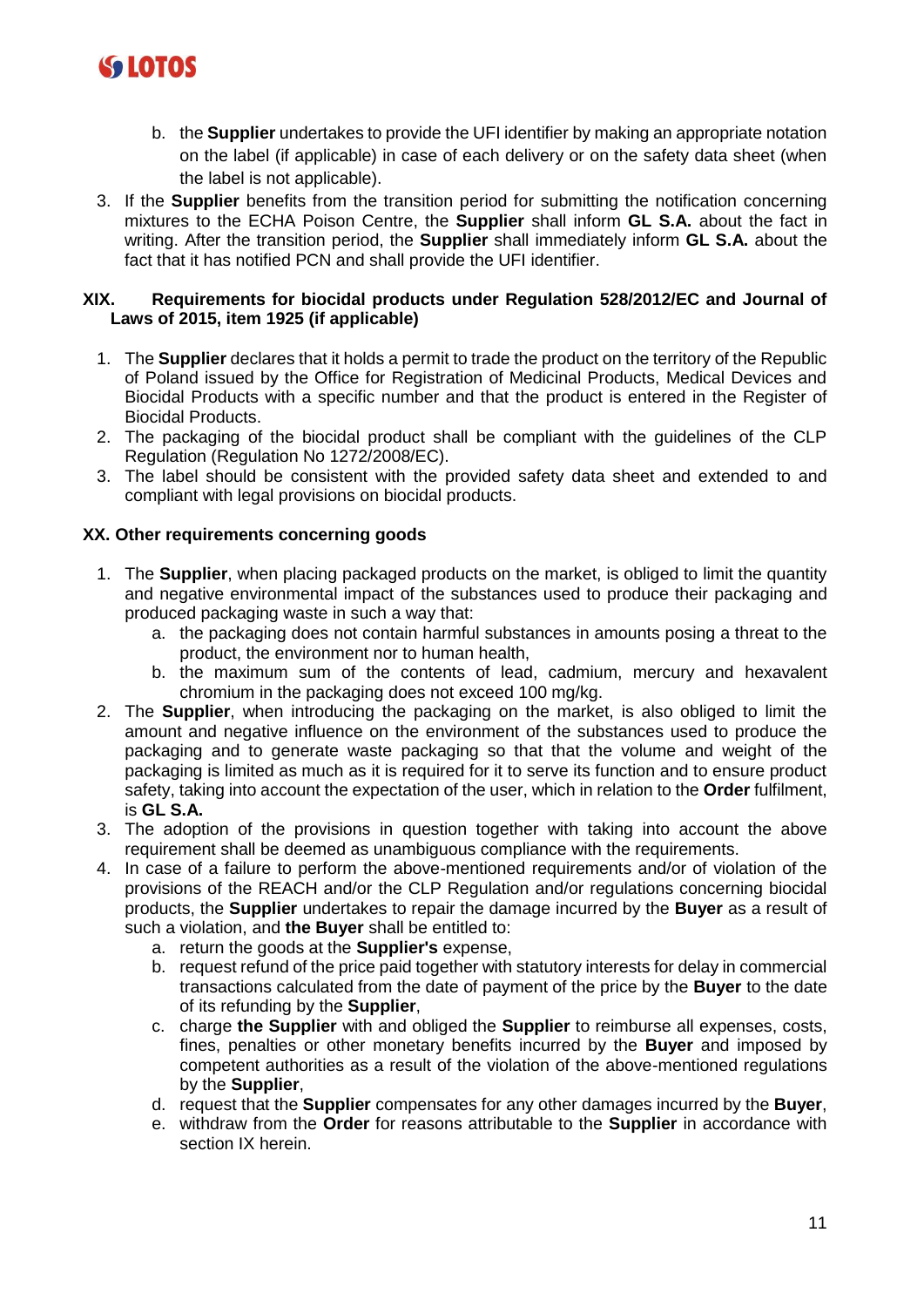

- b. the **Supplier** undertakes to provide the UFI identifier by making an appropriate notation on the label (if applicable) in case of each delivery or on the safety data sheet (when the label is not applicable).
- 3. If the **Supplier** benefits from the transition period for submitting the notification concerning mixtures to the ECHA Poison Centre, the **Supplier** shall inform **GL S.A.** about the fact in writing. After the transition period, the **Supplier** shall immediately inform **GL S.A.** about the fact that it has notified PCN and shall provide the UFI identifier.

## **XIX. Requirements for biocidal products under Regulation 528/2012/EC and Journal of Laws of 2015, item 1925 (if applicable)**

- 1. The **Supplier** declares that it holds a permit to trade the product on the territory of the Republic of Poland issued by the Office for Registration of Medicinal Products, Medical Devices and Biocidal Products with a specific number and that the product is entered in the Register of Biocidal Products.
- 2. The packaging of the biocidal product shall be compliant with the guidelines of the CLP Regulation (Regulation No 1272/2008/EC).
- 3. The label should be consistent with the provided safety data sheet and extended to and compliant with legal provisions on biocidal products.

# **XX. Other requirements concerning goods**

- 1. The **Supplier**, when placing packaged products on the market, is obliged to limit the quantity and negative environmental impact of the substances used to produce their packaging and produced packaging waste in such a way that:
	- a. the packaging does not contain harmful substances in amounts posing a threat to the product, the environment nor to human health,
	- b. the maximum sum of the contents of lead, cadmium, mercury and hexavalent chromium in the packaging does not exceed 100 mg/kg.
- 2. The **Supplier**, when introducing the packaging on the market, is also obliged to limit the amount and negative influence on the environment of the substances used to produce the packaging and to generate waste packaging so that that the volume and weight of the packaging is limited as much as it is required for it to serve its function and to ensure product safety, taking into account the expectation of the user, which in relation to the **Order** fulfilment, is **GL S.A.**
- 3. The adoption of the provisions in question together with taking into account the above requirement shall be deemed as unambiguous compliance with the requirements.
- 4. In case of a failure to perform the above-mentioned requirements and/or of violation of the provisions of the REACH and/or the CLP Regulation and/or regulations concerning biocidal products, the **Supplier** undertakes to repair the damage incurred by the **Buyer** as a result of such a violation, and **the Buyer** shall be entitled to:
	- a. return the goods at the **Supplier's** expense,
	- b. request refund of the price paid together with statutory interests for delay in commercial transactions calculated from the date of payment of the price by the **Buyer** to the date of its refunding by the **Supplier**,
	- c. charge **the Supplier** with and obliged the **Supplier** to reimburse all expenses, costs, fines, penalties or other monetary benefits incurred by the **Buyer** and imposed by competent authorities as a result of the violation of the above-mentioned regulations by the **Supplier**,
	- d. request that the **Supplier** compensates for any other damages incurred by the **Buyer**,
	- e. withdraw from the **Order** for reasons attributable to the **Supplier** in accordance with section IX herein.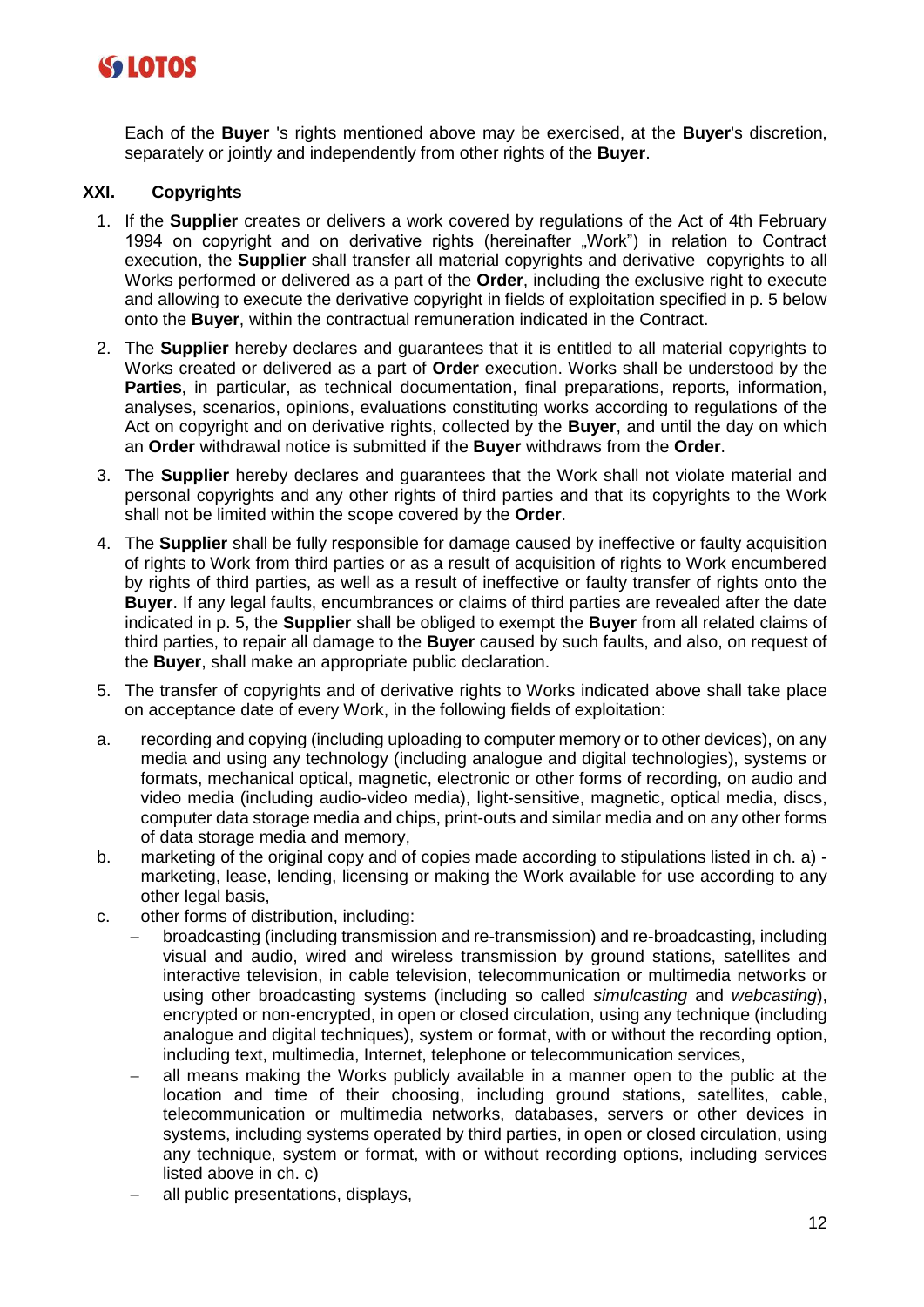

Each of the **Buyer** 's rights mentioned above may be exercised, at the **Buyer**'s discretion, separately or jointly and independently from other rights of the **Buyer**.

#### **XXI. Copyrights**

- 1. If the **Supplier** creates or delivers a work covered by regulations of the Act of 4th February 1994 on copyright and on derivative rights (hereinafter "Work") in relation to Contract execution, the **Supplier** shall transfer all material copyrights and derivative copyrights to all Works performed or delivered as a part of the **Order**, including the exclusive right to execute and allowing to execute the derivative copyright in fields of exploitation specified in p. 5 below onto the **Buyer**, within the contractual remuneration indicated in the Contract.
- 2. The **Supplier** hereby declares and guarantees that it is entitled to all material copyrights to Works created or delivered as a part of **Order** execution. Works shall be understood by the **Parties**, in particular, as technical documentation, final preparations, reports, information, analyses, scenarios, opinions, evaluations constituting works according to regulations of the Act on copyright and on derivative rights, collected by the **Buyer**, and until the day on which an **Order** withdrawal notice is submitted if the **Buyer** withdraws from the **Order**.
- 3. The **Supplier** hereby declares and guarantees that the Work shall not violate material and personal copyrights and any other rights of third parties and that its copyrights to the Work shall not be limited within the scope covered by the **Order**.
- 4. The **Supplier** shall be fully responsible for damage caused by ineffective or faulty acquisition of rights to Work from third parties or as a result of acquisition of rights to Work encumbered by rights of third parties, as well as a result of ineffective or faulty transfer of rights onto the **Buyer**. If any legal faults, encumbrances or claims of third parties are revealed after the date indicated in p. 5, the **Supplier** shall be obliged to exempt the **Buyer** from all related claims of third parties, to repair all damage to the **Buyer** caused by such faults, and also, on request of the **Buyer**, shall make an appropriate public declaration.
- 5. The transfer of copyrights and of derivative rights to Works indicated above shall take place on acceptance date of every Work, in the following fields of exploitation:
- a. recording and copying (including uploading to computer memory or to other devices), on any media and using any technology (including analogue and digital technologies), systems or formats, mechanical optical, magnetic, electronic or other forms of recording, on audio and video media (including audio-video media), light-sensitive, magnetic, optical media, discs, computer data storage media and chips, print-outs and similar media and on any other forms of data storage media and memory,
- b. marketing of the original copy and of copies made according to stipulations listed in ch. a) marketing, lease, lending, licensing or making the Work available for use according to any other legal basis,
- c. other forms of distribution, including:
	- − broadcasting (including transmission and re-transmission) and re-broadcasting, including visual and audio, wired and wireless transmission by ground stations, satellites and interactive television, in cable television, telecommunication or multimedia networks or using other broadcasting systems (including so called *simulcasting* and *webcasting*), encrypted or non-encrypted, in open or closed circulation, using any technique (including analogue and digital techniques), system or format, with or without the recording option, including text, multimedia, Internet, telephone or telecommunication services,
	- all means making the Works publicly available in a manner open to the public at the location and time of their choosing, including ground stations, satellites, cable, telecommunication or multimedia networks, databases, servers or other devices in systems, including systems operated by third parties, in open or closed circulation, using any technique, system or format, with or without recording options, including services listed above in ch. c)
	- − all public presentations, displays,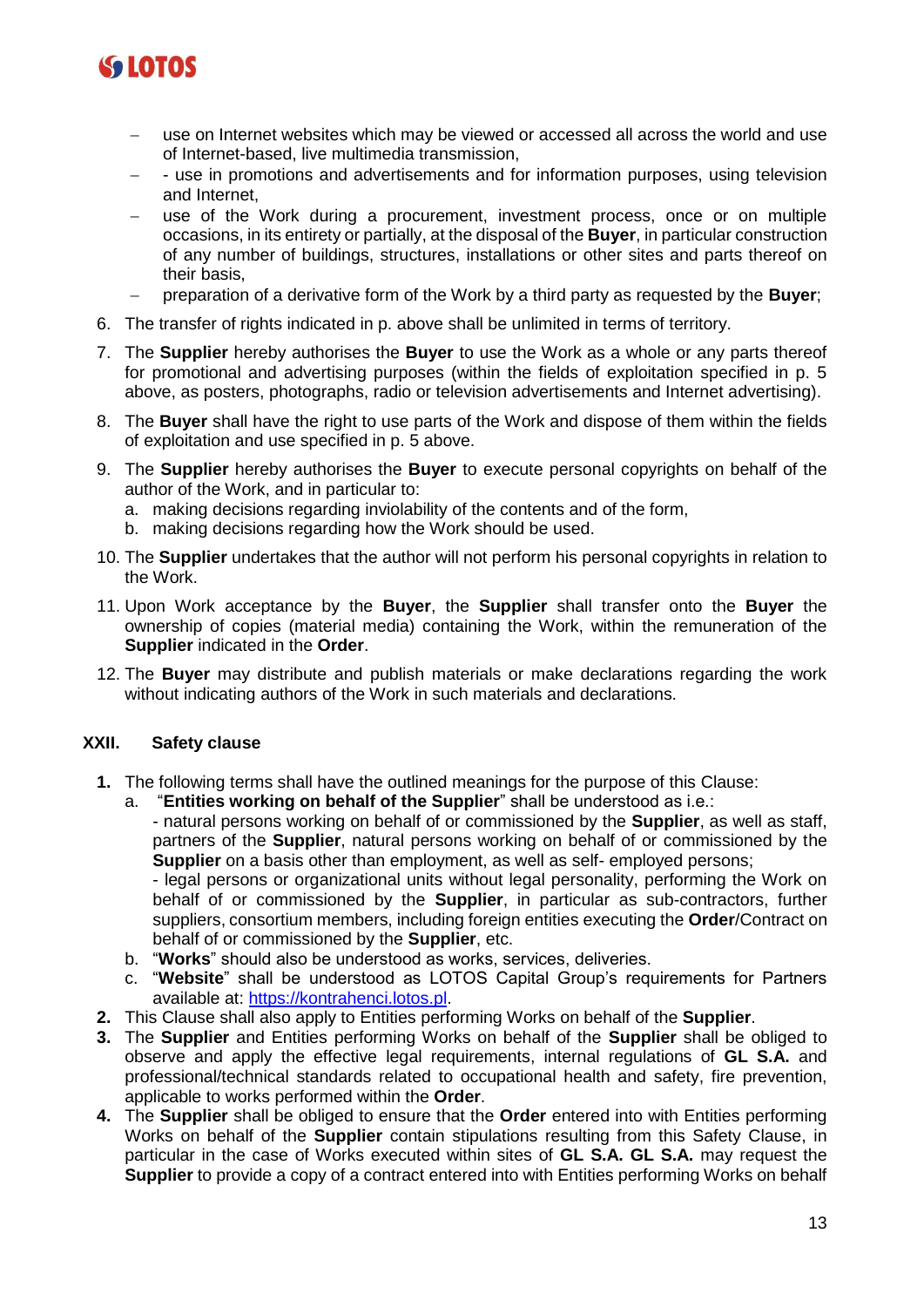

- use on Internet websites which may be viewed or accessed all across the world and use of Internet-based, live multimedia transmission,
- − use in promotions and advertisements and for information purposes, using television and Internet,
- use of the Work during a procurement, investment process, once or on multiple occasions, in its entirety or partially, at the disposal of the **Buyer**, in particular construction of any number of buildings, structures, installations or other sites and parts thereof on their basis,
- − preparation of a derivative form of the Work by a third party as requested by the **Buyer**;
- 6. The transfer of rights indicated in p. above shall be unlimited in terms of territory.
- 7. The **Supplier** hereby authorises the **Buyer** to use the Work as a whole or any parts thereof for promotional and advertising purposes (within the fields of exploitation specified in p. 5 above, as posters, photographs, radio or television advertisements and Internet advertising).
- 8. The **Buyer** shall have the right to use parts of the Work and dispose of them within the fields of exploitation and use specified in p. 5 above.
- 9. The **Supplier** hereby authorises the **Buyer** to execute personal copyrights on behalf of the author of the Work, and in particular to:
	- a. making decisions regarding inviolability of the contents and of the form,
	- b. making decisions regarding how the Work should be used.
- 10. The **Supplier** undertakes that the author will not perform his personal copyrights in relation to the Work.
- 11. Upon Work acceptance by the **Buyer**, the **Supplier** shall transfer onto the **Buyer** the ownership of copies (material media) containing the Work, within the remuneration of the **Supplier** indicated in the **Order**.
- 12. The **Buyer** may distribute and publish materials or make declarations regarding the work without indicating authors of the Work in such materials and declarations.

#### **XXII. Safety clause**

- **1.** The following terms shall have the outlined meanings for the purpose of this Clause:
	- a. "**Entities working on behalf of the Supplier**" shall be understood as i.e.:

- natural persons working on behalf of or commissioned by the **Supplier**, as well as staff, partners of the **Supplier**, natural persons working on behalf of or commissioned by the **Supplier** on a basis other than employment, as well as self- employed persons;

- legal persons or organizational units without legal personality, performing the Work on behalf of or commissioned by the **Supplier**, in particular as sub-contractors, further suppliers, consortium members, including foreign entities executing the **Order**/Contract on behalf of or commissioned by the **Supplier**, etc.

- b. "**Works**" should also be understood as works, services, deliveries.
- c. "**Website**" shall be understood as LOTOS Capital Group's requirements for Partners available at: [https://kontrahenci.lotos.pl.](about:blank)
- **2.** This Clause shall also apply to Entities performing Works on behalf of the **Supplier**.
- **3.** The **Supplier** and Entities performing Works on behalf of the **Supplier** shall be obliged to observe and apply the effective legal requirements, internal regulations of **GL S.A.** and professional/technical standards related to occupational health and safety, fire prevention, applicable to works performed within the **Order**.
- **4.** The **Supplier** shall be obliged to ensure that the **Order** entered into with Entities performing Works on behalf of the **Supplier** contain stipulations resulting from this Safety Clause, in particular in the case of Works executed within sites of **GL S.A. GL S.A.** may request the **Supplier** to provide a copy of a contract entered into with Entities performing Works on behalf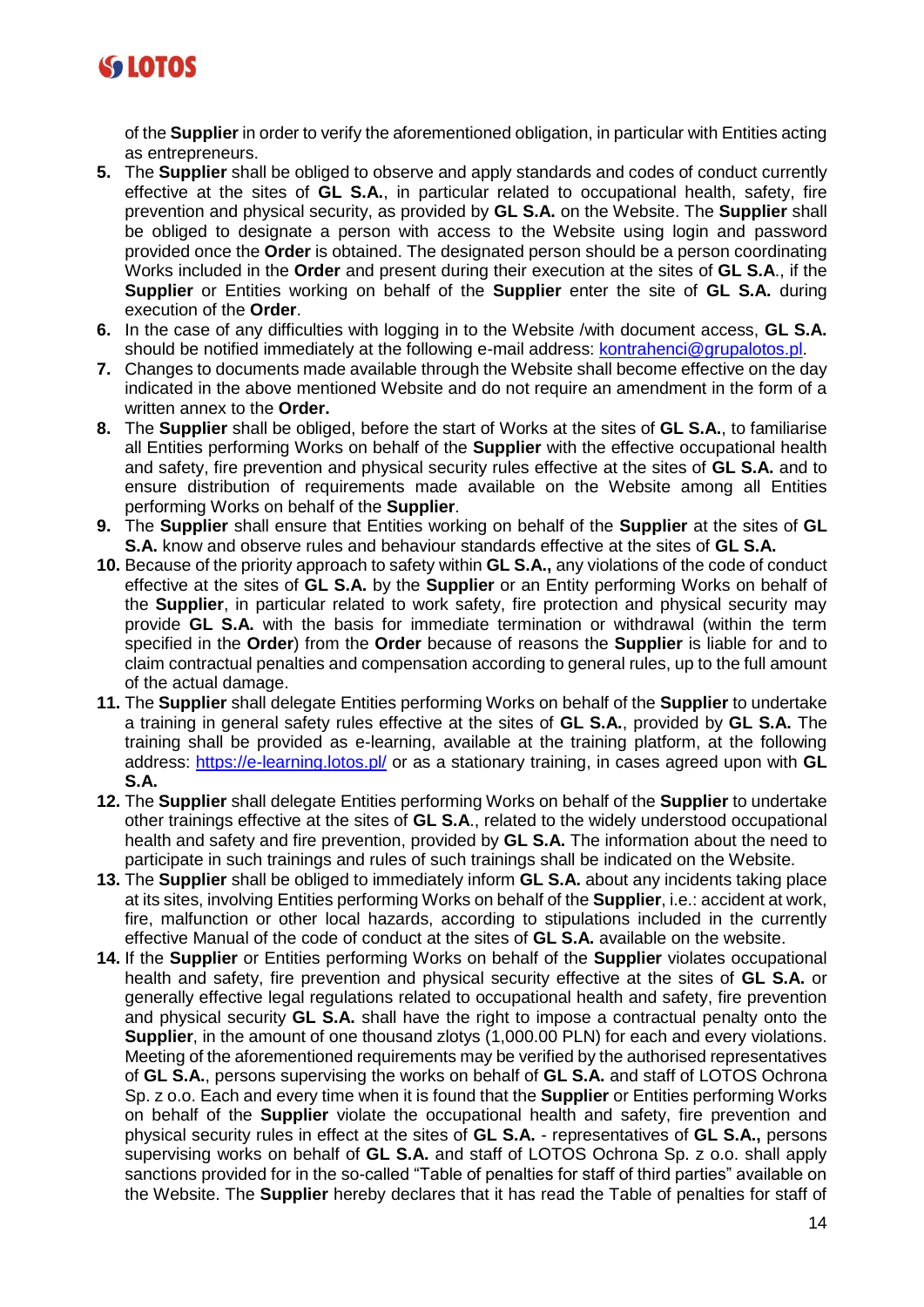

of the **Supplier** in order to verify the aforementioned obligation, in particular with Entities acting as entrepreneurs.

- **5.** The **Supplier** shall be obliged to observe and apply standards and codes of conduct currently effective at the sites of **GL S.A.**, in particular related to occupational health, safety, fire prevention and physical security, as provided by **GL S.A.** on the Website. The **Supplier** shall be obliged to designate a person with access to the Website using login and password provided once the **Order** is obtained. The designated person should be a person coordinating Works included in the **Order** and present during their execution at the sites of **GL S.A**., if the **Supplier** or Entities working on behalf of the **Supplier** enter the site of **GL S.A.** during execution of the **Order**.
- **6.** In the case of any difficulties with logging in to the Website /with document access, **GL S.A.** should be notified immediately at the following e-mail address: [kontrahenci@grupalotos.pl.](about:blank)
- **7.** Changes to documents made available through the Website shall become effective on the day indicated in the above mentioned Website and do not require an amendment in the form of a written annex to the **Order.**
- **8.** The **Supplier** shall be obliged, before the start of Works at the sites of **GL S.A.**, to familiarise all Entities performing Works on behalf of the **Supplier** with the effective occupational health and safety, fire prevention and physical security rules effective at the sites of **GL S.A.** and to ensure distribution of requirements made available on the Website among all Entities performing Works on behalf of the **Supplier**.
- **9.** The **Supplier** shall ensure that Entities working on behalf of the **Supplier** at the sites of **GL S.A.** know and observe rules and behaviour standards effective at the sites of **GL S.A.**
- **10.** Because of the priority approach to safety within **GL S.A.,** any violations of the code of conduct effective at the sites of **GL S.A.** by the **Supplier** or an Entity performing Works on behalf of the **Supplier**, in particular related to work safety, fire protection and physical security may provide **GL S.A.** with the basis for immediate termination or withdrawal (within the term specified in the **Order**) from the **Order** because of reasons the **Supplier** is liable for and to claim contractual penalties and compensation according to general rules, up to the full amount of the actual damage.
- **11.** The **Supplier** shall delegate Entities performing Works on behalf of the **Supplier** to undertake a training in general safety rules effective at the sites of **GL S.A.**, provided by **GL S.A.** The training shall be provided as e-learning, available at the training platform, at the following address: [https://e-learning.lotos.pl/](about:blank) or as a stationary training, in cases agreed upon with **GL S.A.**
- **12.** The **Supplier** shall delegate Entities performing Works on behalf of the **Supplier** to undertake other trainings effective at the sites of **GL S.A**., related to the widely understood occupational health and safety and fire prevention, provided by **GL S.A.** The information about the need to participate in such trainings and rules of such trainings shall be indicated on the Website.
- **13.** The **Supplier** shall be obliged to immediately inform **GL S.A.** about any incidents taking place at its sites, involving Entities performing Works on behalf of the **Supplier**, i.e.: accident at work, fire, malfunction or other local hazards, according to stipulations included in the currently effective Manual of the code of conduct at the sites of **GL S.A.** available on the website.
- **14.** If the **Supplier** or Entities performing Works on behalf of the **Supplier** violates occupational health and safety, fire prevention and physical security effective at the sites of **GL S.A.** or generally effective legal regulations related to occupational health and safety, fire prevention and physical security **GL S.A.** shall have the right to impose a contractual penalty onto the **Supplier**, in the amount of one thousand zlotys (1,000.00 PLN) for each and every violations. Meeting of the aforementioned requirements may be verified by the authorised representatives of **GL S.A.**, persons supervising the works on behalf of **GL S.A.** and staff of LOTOS Ochrona Sp. z o.o. Each and every time when it is found that the **Supplier** or Entities performing Works on behalf of the **Supplier** violate the occupational health and safety, fire prevention and physical security rules in effect at the sites of **GL S.A.** - representatives of **GL S.A.,** persons supervising works on behalf of **GL S.A.** and staff of LOTOS Ochrona Sp. z o.o. shall apply sanctions provided for in the so-called "Table of penalties for staff of third parties" available on the Website. The **Supplier** hereby declares that it has read the Table of penalties for staff of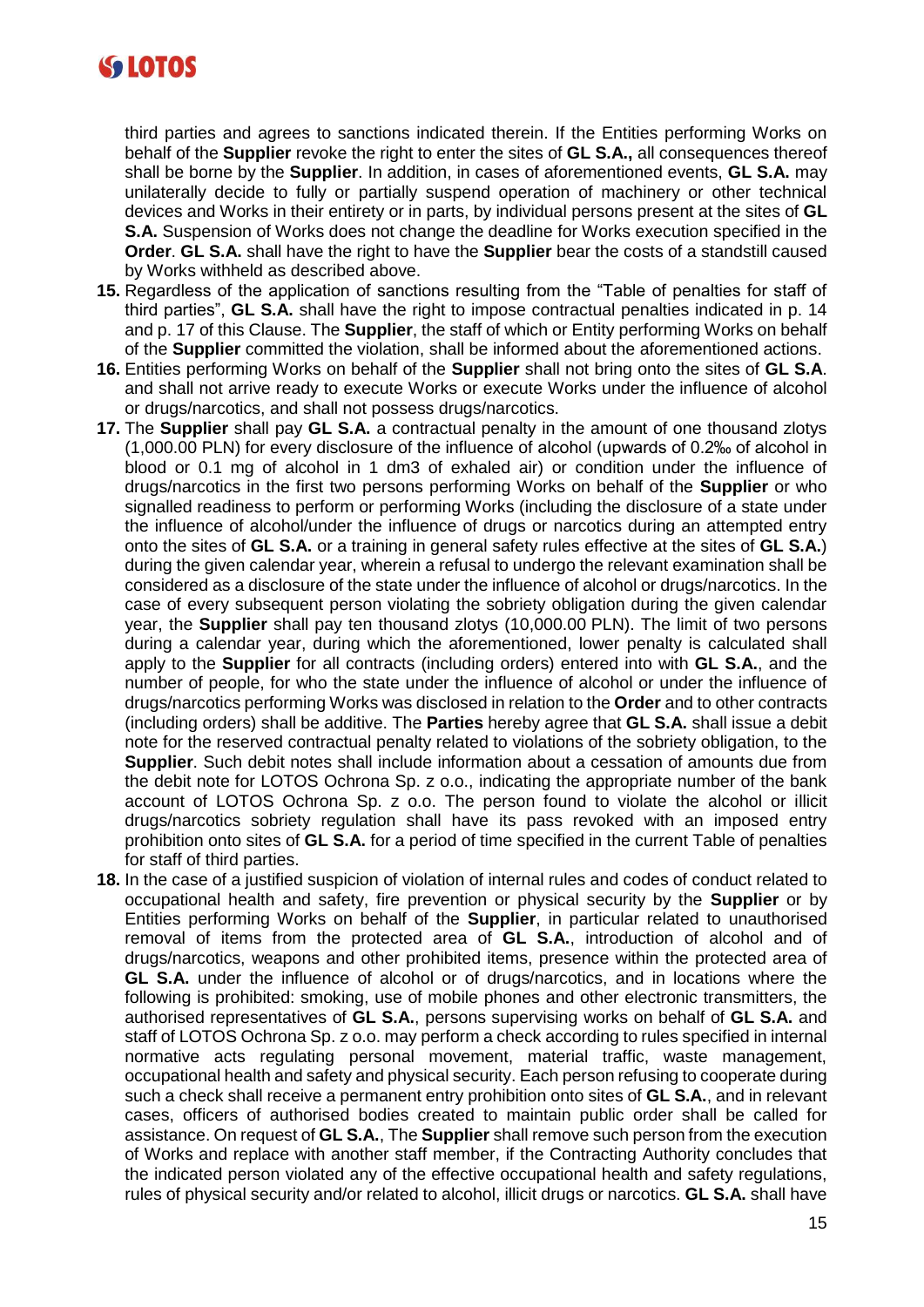

third parties and agrees to sanctions indicated therein. If the Entities performing Works on behalf of the **Supplier** revoke the right to enter the sites of **GL S.A.,** all consequences thereof shall be borne by the **Supplier**. In addition, in cases of aforementioned events, **GL S.A.** may unilaterally decide to fully or partially suspend operation of machinery or other technical devices and Works in their entirety or in parts, by individual persons present at the sites of **GL S.A.** Suspension of Works does not change the deadline for Works execution specified in the **Order**. **GL S.A.** shall have the right to have the **Supplier** bear the costs of a standstill caused by Works withheld as described above.

- **15.** Regardless of the application of sanctions resulting from the "Table of penalties for staff of third parties", **GL S.A.** shall have the right to impose contractual penalties indicated in p. 14 and p. 17 of this Clause. The **Supplier**, the staff of which or Entity performing Works on behalf of the **Supplier** committed the violation, shall be informed about the aforementioned actions.
- **16.** Entities performing Works on behalf of the **Supplier** shall not bring onto the sites of **GL S.A**. and shall not arrive ready to execute Works or execute Works under the influence of alcohol or drugs/narcotics, and shall not possess drugs/narcotics.
- **17.** The **Supplier** shall pay **GL S.A.** a contractual penalty in the amount of one thousand zlotys (1,000.00 PLN) for every disclosure of the influence of alcohol (upwards of 0.2‰ of alcohol in blood or 0.1 mg of alcohol in 1 dm3 of exhaled air) or condition under the influence of drugs/narcotics in the first two persons performing Works on behalf of the **Supplier** or who signalled readiness to perform or performing Works (including the disclosure of a state under the influence of alcohol/under the influence of drugs or narcotics during an attempted entry onto the sites of **GL S.A.** or a training in general safety rules effective at the sites of **GL S.A.**) during the given calendar year, wherein a refusal to undergo the relevant examination shall be considered as a disclosure of the state under the influence of alcohol or drugs/narcotics. In the case of every subsequent person violating the sobriety obligation during the given calendar year, the **Supplier** shall pay ten thousand zlotys (10,000.00 PLN). The limit of two persons during a calendar year, during which the aforementioned, lower penalty is calculated shall apply to the **Supplier** for all contracts (including orders) entered into with **GL S.A.**, and the number of people, for who the state under the influence of alcohol or under the influence of drugs/narcotics performing Works was disclosed in relation to the **Order** and to other contracts (including orders) shall be additive. The **Parties** hereby agree that **GL S.A.** shall issue a debit note for the reserved contractual penalty related to violations of the sobriety obligation, to the **Supplier**. Such debit notes shall include information about a cessation of amounts due from the debit note for LOTOS Ochrona Sp. z o.o., indicating the appropriate number of the bank account of LOTOS Ochrona Sp. z o.o. The person found to violate the alcohol or illicit drugs/narcotics sobriety regulation shall have its pass revoked with an imposed entry prohibition onto sites of **GL S.A.** for a period of time specified in the current Table of penalties for staff of third parties.
- **18.** In the case of a justified suspicion of violation of internal rules and codes of conduct related to occupational health and safety, fire prevention or physical security by the **Supplier** or by Entities performing Works on behalf of the **Supplier**, in particular related to unauthorised removal of items from the protected area of **GL S.A.**, introduction of alcohol and of drugs/narcotics, weapons and other prohibited items, presence within the protected area of **GL S.A.** under the influence of alcohol or of drugs/narcotics, and in locations where the following is prohibited: smoking, use of mobile phones and other electronic transmitters, the authorised representatives of **GL S.A.**, persons supervising works on behalf of **GL S.A.** and staff of LOTOS Ochrona Sp. z o.o. may perform a check according to rules specified in internal normative acts regulating personal movement, material traffic, waste management, occupational health and safety and physical security. Each person refusing to cooperate during such a check shall receive a permanent entry prohibition onto sites of **GL S.A.**, and in relevant cases, officers of authorised bodies created to maintain public order shall be called for assistance. On request of **GL S.A.**, The **Supplier** shall remove such person from the execution of Works and replace with another staff member, if the Contracting Authority concludes that the indicated person violated any of the effective occupational health and safety regulations, rules of physical security and/or related to alcohol, illicit drugs or narcotics. **GL S.A.** shall have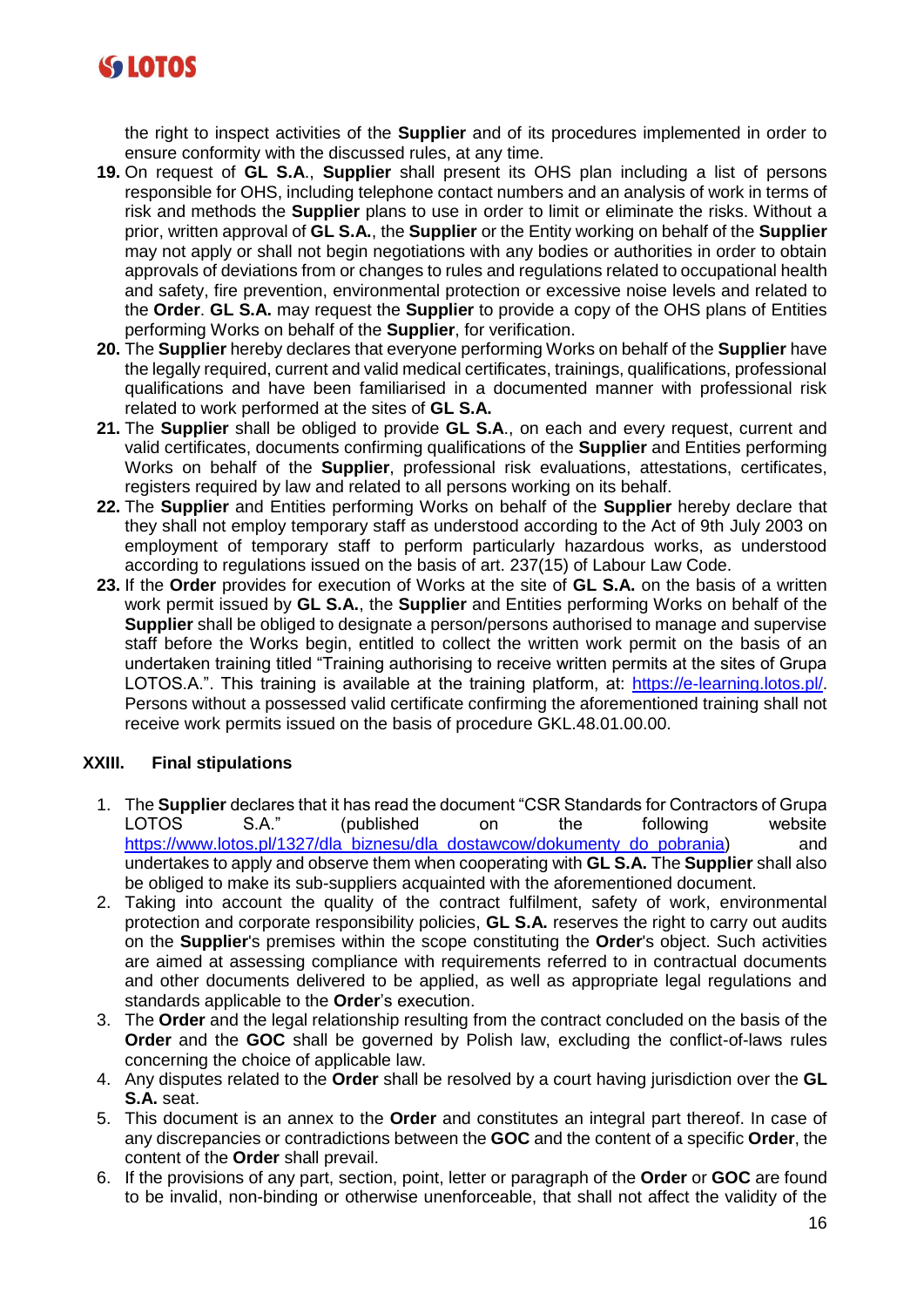

the right to inspect activities of the **Supplier** and of its procedures implemented in order to ensure conformity with the discussed rules, at any time.

- **19.** On request of **GL S.A**., **Supplier** shall present its OHS plan including a list of persons responsible for OHS, including telephone contact numbers and an analysis of work in terms of risk and methods the **Supplier** plans to use in order to limit or eliminate the risks. Without a prior, written approval of **GL S.A.**, the **Supplier** or the Entity working on behalf of the **Supplier** may not apply or shall not begin negotiations with any bodies or authorities in order to obtain approvals of deviations from or changes to rules and regulations related to occupational health and safety, fire prevention, environmental protection or excessive noise levels and related to the **Order**. **GL S.A.** may request the **Supplier** to provide a copy of the OHS plans of Entities performing Works on behalf of the **Supplier**, for verification.
- **20.** The **Supplier** hereby declares that everyone performing Works on behalf of the **Supplier** have the legally required, current and valid medical certificates, trainings, qualifications, professional qualifications and have been familiarised in a documented manner with professional risk related to work performed at the sites of **GL S.A.**
- **21.** The **Supplier** shall be obliged to provide **GL S.A**., on each and every request, current and valid certificates, documents confirming qualifications of the **Supplier** and Entities performing Works on behalf of the **Supplier**, professional risk evaluations, attestations, certificates, registers required by law and related to all persons working on its behalf.
- **22.** The **Supplier** and Entities performing Works on behalf of the **Supplier** hereby declare that they shall not employ temporary staff as understood according to the Act of 9th July 2003 on employment of temporary staff to perform particularly hazardous works, as understood according to regulations issued on the basis of art. 237(15) of Labour Law Code.
- **23.** If the **Order** provides for execution of Works at the site of **GL S.A.** on the basis of a written work permit issued by **GL S.A.**, the **Supplier** and Entities performing Works on behalf of the **Supplier** shall be obliged to designate a person/persons authorised to manage and supervise staff before the Works begin, entitled to collect the written work permit on the basis of an undertaken training titled "Training authorising to receive written permits at the sites of Grupa LOTOS.A.". This training is available at the training platform, at: [https://e-learning.lotos.pl/](about:blank). Persons without a possessed valid certificate confirming the aforementioned training shall not receive work permits issued on the basis of procedure GKL.48.01.00.00.

# **XXIII. Final stipulations**

- 1. The **Supplier** declares that it has read the document "CSR Standards for Contractors of Grupa LOTOS S.A." (published on the following website [https://www.lotos.pl/1327/dla\\_biznesu/dla\\_dostawcow/dokumenty\\_do\\_pobrania\)](https://www.lotos.pl/1327/dla_biznesu/dla_dostawcow/dokumenty_do_pobrania) and undertakes to apply and observe them when cooperating with **GL S.A.** The **Supplier** shall also be obliged to make its sub-suppliers acquainted with the aforementioned document.
- 2. Taking into account the quality of the contract fulfilment, safety of work, environmental protection and corporate responsibility policies, **GL S.A.** reserves the right to carry out audits on the **Supplier**'s premises within the scope constituting the **Order**'s object. Such activities are aimed at assessing compliance with requirements referred to in contractual documents and other documents delivered to be applied, as well as appropriate legal regulations and standards applicable to the **Order**'s execution.
- 3. The **Order** and the legal relationship resulting from the contract concluded on the basis of the **Order** and the **GOC** shall be governed by Polish law, excluding the conflict-of-laws rules concerning the choice of applicable law.
- 4. Any disputes related to the **Order** shall be resolved by a court having jurisdiction over the **GL S.A.** seat.
- 5. This document is an annex to the **Order** and constitutes an integral part thereof. In case of any discrepancies or contradictions between the **GOC** and the content of a specific **Order**, the content of the **Order** shall prevail.
- 6. If the provisions of any part, section, point, letter or paragraph of the **Order** or **GOC** are found to be invalid, non-binding or otherwise unenforceable, that shall not affect the validity of the